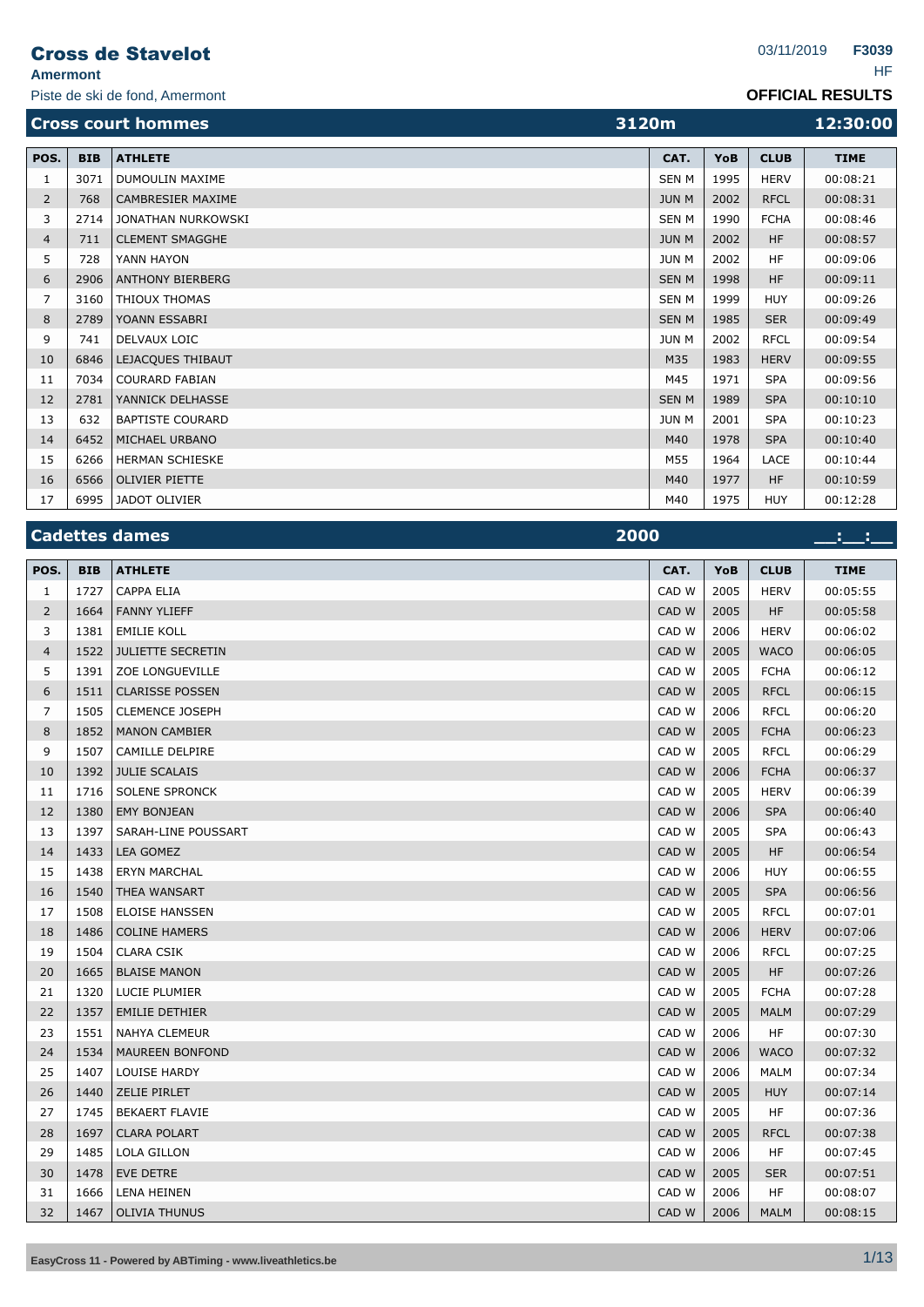| <b>OFFICIAL RESULTS</b> |
|-------------------------|
|-------------------------|

|                | Piste de ski de fond, Amermont |                           |                |      |             | <b>OFFICIAL RESULTS</b> |
|----------------|--------------------------------|---------------------------|----------------|------|-------------|-------------------------|
|                |                                | <b>Cross court hommes</b> | 3120m          |      |             | 12:30:00                |
| POS.           | <b>BIB</b>                     | <b>ATHLETE</b>            | CAT.           | YoB  | <b>CLUB</b> | <b>TIME</b>             |
|                | 3071                           | DUMOULIN MAXIME           | <b>SEN M</b>   | 1995 | <b>HERV</b> | 00:08:21                |
| $\overline{2}$ | 768                            | CAMBRESIER MAXIME         | <b>JUN M</b>   | 2002 | <b>RFCL</b> | 00:08:31                |
|                | 2714                           | JONATHAN NURKOWSKI        | <b>SEN M</b>   | 1990 | <b>FCHA</b> | 00:08:46                |
| 4              | 711                            | <b>CLEMENT SMAGGHE</b>    | <b>JUN M</b>   | 2002 | HF          | 00:08:57                |
|                | 728                            | YANN HAYON                | JUN M          | 2002 | <b>HF</b>   | 00:09:06                |
| 6              | 2906                           | <b>ANTHONY BIERBERG</b>   | <b>SEN M</b>   | 1998 | HF          | 00:09:11                |
| ⇁              |                                |                           | C <sub>0</sub> | 1000 | 111N        | 00.00.25                |

|    |      |                         | ------       |      |             |          |
|----|------|-------------------------|--------------|------|-------------|----------|
| 5  | 728  | YANN HAYON              | JUN M        | 2002 | HF          | 00:09:06 |
| 6  | 2906 | <b>ANTHONY BIERBERG</b> | <b>SEN M</b> | 1998 | <b>HF</b>   | 00:09:11 |
| 7  | 3160 | <b>THIOUX THOMAS</b>    | <b>SEN M</b> | 1999 | <b>HUY</b>  | 00:09:26 |
| 8  | 2789 | YOANN ESSABRI           | <b>SEN M</b> | 1985 | <b>SER</b>  | 00:09:49 |
| 9  | 741  | DELVAUX LOIC            | JUN M        | 2002 | <b>RFCL</b> | 00:09:54 |
| 10 | 6846 | LEJACQUES THIBAUT       | M35          | 1983 | <b>HERV</b> | 00:09:55 |
| 11 | 7034 | COURARD FABIAN          | M45          | 1971 | <b>SPA</b>  | 00:09:56 |
| 12 | 2781 | YANNICK DELHASSE        | <b>SEN M</b> | 1989 | <b>SPA</b>  | 00:10:10 |
| 13 | 632  | <b>BAPTISTE COURARD</b> | <b>JUN M</b> | 2001 | <b>SPA</b>  | 00:10:23 |
| 14 | 6452 | MICHAEL URBANO          | M40          | 1978 | <b>SPA</b>  | 00:10:40 |
| 15 | 6266 | <b>HERMAN SCHIESKE</b>  | M55          | 1964 | LACE        | 00:10:44 |
| 16 | 6566 | <b>OLIVIER PIETTE</b>   | M40          | 1977 | <b>HF</b>   | 00:10:59 |
| 17 |      | 6995 JADOT OLIVIER      | M40          | 1975 | <b>HUY</b>  | 00:12:28 |

| <b>Cadettes dames</b> | 2000 |  |
|-----------------------|------|--|
|                       |      |  |

| POS.           | <b>BIB</b> | <b>ATHLETE</b>           | CAT.  | YoB  | <b>CLUB</b> | <b>TIME</b> |
|----------------|------------|--------------------------|-------|------|-------------|-------------|
| $\mathbf{1}$   | 1727       | <b>CAPPA ELIA</b>        | CAD W | 2005 | <b>HERV</b> | 00:05:55    |
| 2              | 1664       | <b>FANNY YLIEFF</b>      | CAD W | 2005 | HF          | 00:05:58    |
| 3              | 1381       | <b>EMILIE KOLL</b>       | CAD W | 2006 | <b>HERV</b> | 00:06:02    |
| $\overline{4}$ | 1522       | <b>JULIETTE SECRETIN</b> | CAD W | 2005 | <b>WACO</b> | 00:06:05    |
| 5              | 1391       | ZOE LONGUEVILLE          | CAD W | 2005 | <b>FCHA</b> | 00:06:12    |
| 6              | 1511       | <b>CLARISSE POSSEN</b>   | CAD W | 2005 | <b>RFCL</b> | 00:06:15    |
| $\overline{7}$ | 1505       | <b>CLEMENCE JOSEPH</b>   | CAD W | 2006 | <b>RFCL</b> | 00:06:20    |
| 8              | 1852       | <b>MANON CAMBIER</b>     | CAD W | 2005 | <b>FCHA</b> | 00:06:23    |
| 9              | 1507       | CAMILLE DELPIRE          | CAD W | 2005 | <b>RFCL</b> | 00:06:29    |
| 10             | 1392       | <b>JULIE SCALAIS</b>     | CAD W | 2006 | <b>FCHA</b> | 00:06:37    |
| 11             | 1716       | <b>SOLENE SPRONCK</b>    | CAD W | 2005 | <b>HERV</b> | 00:06:39    |
| 12             | 1380       | <b>EMY BONJEAN</b>       | CAD W | 2006 | <b>SPA</b>  | 00:06:40    |
| 13             | 1397       | SARAH-LINE POUSSART      | CAD W | 2005 | <b>SPA</b>  | 00:06:43    |
| 14             | 1433       | LEA GOMEZ                | CAD W | 2005 | <b>HF</b>   | 00:06:54    |
| 15             | 1438       | <b>ERYN MARCHAL</b>      | CAD W | 2006 | <b>HUY</b>  | 00:06:55    |
| 16             | 1540       | THEA WANSART             | CAD W | 2005 | <b>SPA</b>  | 00:06:56    |
| 17             | 1508       | <b>ELOISE HANSSEN</b>    | CAD W | 2005 | <b>RFCL</b> | 00:07:01    |
| 18             | 1486       | <b>COLINE HAMERS</b>     | CAD W | 2006 | <b>HERV</b> | 00:07:06    |
| 19             | 1504       | <b>CLARA CSIK</b>        | CAD W | 2006 | <b>RFCL</b> | 00:07:25    |
| 20             | 1665       | <b>BLAISE MANON</b>      | CAD W | 2005 | <b>HF</b>   | 00:07:26    |
| 21             | 1320       | LUCIE PLUMIER            | CAD W | 2005 | <b>FCHA</b> | 00:07:28    |
| 22             | 1357       | <b>EMILIE DETHIER</b>    | CAD W | 2005 | <b>MALM</b> | 00:07:29    |
| 23             | 1551       | <b>NAHYA CLEMEUR</b>     | CAD W | 2006 | HF.         | 00:07:30    |
| 24             | 1534       | <b>MAUREEN BONFOND</b>   | CAD W | 2006 | <b>WACO</b> | 00:07:32    |
| 25             | 1407       | LOUISE HARDY             | CAD W | 2006 | <b>MALM</b> | 00:07:34    |
| 26             | 1440       | ZELIE PIRLET             | CAD W | 2005 | <b>HUY</b>  | 00:07:14    |
| 27             | 1745       | <b>BEKAERT FLAVIE</b>    | CAD W | 2005 | <b>HF</b>   | 00:07:36    |
| 28             | 1697       | <b>CLARA POLART</b>      | CAD W | 2005 | <b>RFCL</b> | 00:07:38    |
| 29             | 1485       | LOLA GILLON              | CAD W | 2006 | <b>HF</b>   | 00:07:45    |
| 30             | 1478       | <b>EVE DETRE</b>         | CAD W | 2005 | <b>SER</b>  | 00:07:51    |
| 31             | 1666       | <b>LENA HEINEN</b>       | CAD W | 2006 | HF.         | 00:08:07    |
| 32             | 1467       | <b>OLIVIA THUNUS</b>     | CAD W | 2006 | <b>MALM</b> | 00:08:15    |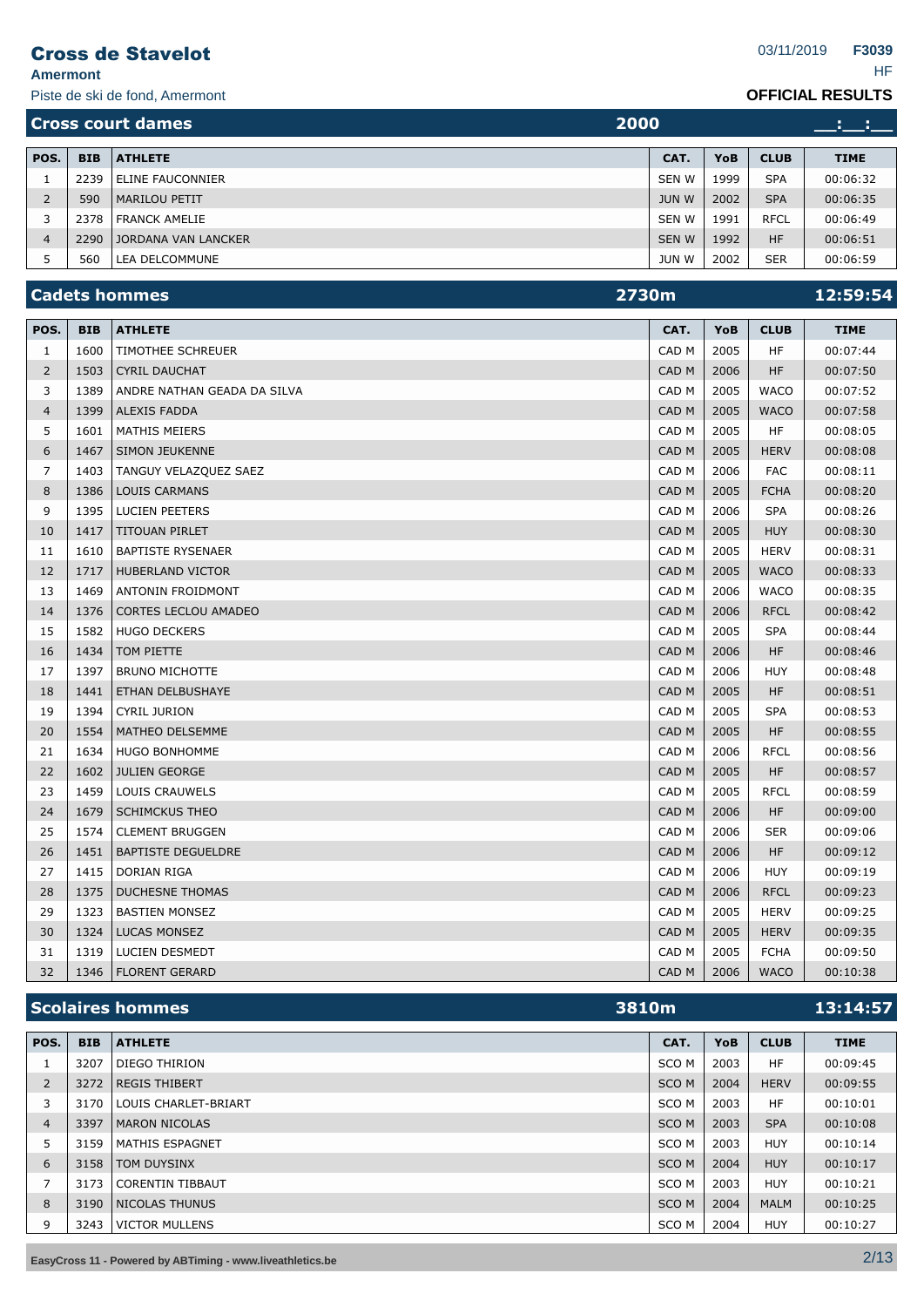**Amermont** HF

Piste de ski de fond, Amermont

| 2000<br><b>Cross court dames</b> |            |                            |              |      |             |             |
|----------------------------------|------------|----------------------------|--------------|------|-------------|-------------|
| POS.                             | <b>BIB</b> | <b>ATHLETE</b>             | CAT.         | YoB  | <b>CLUB</b> | <b>TIME</b> |
|                                  | 2239       | ELINE FAUCONNIER           | SEN W        | 1999 | <b>SPA</b>  | 00:06:32    |
|                                  | 590        | <b>MARILOU PETIT</b>       | <b>JUN W</b> | 2002 | <b>SPA</b>  | 00:06:35    |
|                                  | 2378       | FRANCK AMELIE              | SEN W        | 1991 | <b>RFCL</b> | 00:06:49    |
| 4                                | 2290       | <b>JORDANA VAN LANCKER</b> | SEN W        | 1992 | <b>HF</b>   | 00:06:51    |
|                                  | 560        | LEA DELCOMMUNE             | <b>JUN W</b> | 2002 | <b>SER</b>  | 00:06:59    |

|                | <b>Cadets hommes</b><br>2730m |                             |                  |      |             | 12:59:54    |
|----------------|-------------------------------|-----------------------------|------------------|------|-------------|-------------|
| POS.           | <b>BIB</b>                    | <b>ATHLETE</b>              | CAT.             | YoB  | <b>CLUB</b> | <b>TIME</b> |
| $\mathbf{1}$   | 1600                          | TIMOTHEE SCHREUER           | CAD <sub>M</sub> | 2005 | <b>HF</b>   | 00:07:44    |
| $\overline{2}$ | 1503                          | <b>CYRIL DAUCHAT</b>        | CAD <sub>M</sub> | 2006 | HF          | 00:07:50    |
| 3              | 1389                          | ANDRE NATHAN GEADA DA SILVA | CAD <sub>M</sub> | 2005 | <b>WACO</b> | 00:07:52    |
| $\overline{4}$ | 1399                          | <b>ALEXIS FADDA</b>         | CAD <sub>M</sub> | 2005 | <b>WACO</b> | 00:07:58    |
| 5              | 1601                          | <b>MATHIS MEIERS</b>        | CAD <sub>M</sub> | 2005 | <b>HF</b>   | 00:08:05    |
| 6              | 1467                          | <b>SIMON JEUKENNE</b>       | CAD <sub>M</sub> | 2005 | <b>HERV</b> | 00:08:08    |
| 7              | 1403                          | TANGUY VELAZQUEZ SAEZ       | CAD <sub>M</sub> | 2006 | <b>FAC</b>  | 00:08:11    |
| 8              | 1386                          | <b>LOUIS CARMANS</b>        | CAD <sub>M</sub> | 2005 | <b>FCHA</b> | 00:08:20    |
| 9              | 1395                          | <b>LUCIEN PEETERS</b>       | CAD <sub>M</sub> | 2006 | <b>SPA</b>  | 00:08:26    |
| 10             | 1417                          | TITOUAN PIRLET              | CAD <sub>M</sub> | 2005 | <b>HUY</b>  | 00:08:30    |
| 11             | 1610                          | <b>BAPTISTE RYSENAER</b>    | CAD <sub>M</sub> | 2005 | <b>HERV</b> | 00:08:31    |
| 12             | 1717                          | <b>HUBERLAND VICTOR</b>     | CAD <sub>M</sub> | 2005 | <b>WACO</b> | 00:08:33    |
| 13             | 1469                          | ANTONIN FROIDMONT           | CAD <sub>M</sub> | 2006 | <b>WACO</b> | 00:08:35    |
| 14             | 1376                          | <b>CORTES LECLOU AMADEO</b> | CAD <sub>M</sub> | 2006 | <b>RFCL</b> | 00:08:42    |
| 15             | 1582                          | <b>HUGO DECKERS</b>         | CAD <sub>M</sub> | 2005 | <b>SPA</b>  | 00:08:44    |
| 16             | 1434                          | TOM PIETTE                  | CAD <sub>M</sub> | 2006 | HF          | 00:08:46    |
| 17             | 1397                          | <b>BRUNO MICHOTTE</b>       | CAD <sub>M</sub> | 2006 | <b>HUY</b>  | 00:08:48    |
| 18             | 1441                          | ETHAN DELBUSHAYE            | CAD <sub>M</sub> | 2005 | <b>HF</b>   | 00:08:51    |
| 19             | 1394                          | <b>CYRIL JURION</b>         | CAD <sub>M</sub> | 2005 | <b>SPA</b>  | 00:08:53    |
| 20             | 1554                          | MATHEO DELSEMME             | CAD <sub>M</sub> | 2005 | HF          | 00:08:55    |
| 21             | 1634                          | HUGO BONHOMME               | CAD <sub>M</sub> | 2006 | <b>RFCL</b> | 00:08:56    |
| 22             | 1602                          | <b>JULIEN GEORGE</b>        | CAD <sub>M</sub> | 2005 | HF          | 00:08:57    |
| 23             | 1459                          | LOUIS CRAUWELS              | CAD <sub>M</sub> | 2005 | <b>RFCL</b> | 00:08:59    |
| 24             | 1679                          | <b>SCHIMCKUS THEO</b>       | CAD <sub>M</sub> | 2006 | <b>HF</b>   | 00:09:00    |
| 25             | 1574                          | <b>CLEMENT BRUGGEN</b>      | CAD <sub>M</sub> | 2006 | <b>SER</b>  | 00:09:06    |
| 26             | 1451                          | <b>BAPTISTE DEGUELDRE</b>   | CAD <sub>M</sub> | 2006 | HF.         | 00:09:12    |
| 27             | 1415                          | <b>DORIAN RIGA</b>          | CAD <sub>M</sub> | 2006 | <b>HUY</b>  | 00:09:19    |
| 28             | 1375                          | <b>DUCHESNE THOMAS</b>      | CAD <sub>M</sub> | 2006 | <b>RFCL</b> | 00:09:23    |
| 29             | 1323                          | <b>BASTIEN MONSEZ</b>       | CAD <sub>M</sub> | 2005 | <b>HERV</b> | 00:09:25    |
| 30             | 1324                          | <b>LUCAS MONSEZ</b>         | CAD <sub>M</sub> | 2005 | <b>HERV</b> | 00:09:35    |
| 31             | 1319                          | LUCIEN DESMEDT              | CAD <sub>M</sub> | 2005 | <b>FCHA</b> | 00:09:50    |
| 32             |                               | 1346   FLORENT GERARD       | CAD M            | 2006 | <b>WACO</b> | 00:10:38    |

|                | <b>Scolaires hommes</b><br>3810m |                         |                  |      |             | 13:14:57    |
|----------------|----------------------------------|-------------------------|------------------|------|-------------|-------------|
| POS.           | <b>BIB</b>                       | <b>ATHLETE</b>          | CAT.             | YoB  | <b>CLUB</b> | <b>TIME</b> |
| 1              | 3207                             | <b>DIEGO THIRION</b>    | SCO M            | 2003 | HF          | 00:09:45    |
| $\overline{2}$ | 3272                             | <b>REGIS THIBERT</b>    | SCO <sub>M</sub> | 2004 | <b>HERV</b> | 00:09:55    |
| 3              | 3170                             | LOUIS CHARLET-BRIART    | SCO M            | 2003 | HF          | 00:10:01    |
| $\overline{4}$ | 3397                             | MARON NICOLAS           | SCO <sub>M</sub> | 2003 | <b>SPA</b>  | 00:10:08    |
| 5              | 3159                             | <b>MATHIS ESPAGNET</b>  | SCO M            | 2003 | <b>HUY</b>  | 00:10:14    |
| 6              | 3158                             | <b>TOM DUYSINX</b>      | SCO <sub>M</sub> | 2004 | <b>HUY</b>  | 00:10:17    |
| 7              | 3173                             | <b>CORENTIN TIBBAUT</b> | SCO M            | 2003 | <b>HUY</b>  | 00:10:21    |
| 8              | 3190                             | NICOLAS THUNUS          | SCO <sub>M</sub> | 2004 | <b>MALM</b> | 00:10:25    |
| 9              | 3243                             | <b>VICTOR MULLENS</b>   | SCO M            | 2004 | <b>HUY</b>  | 00:10:27    |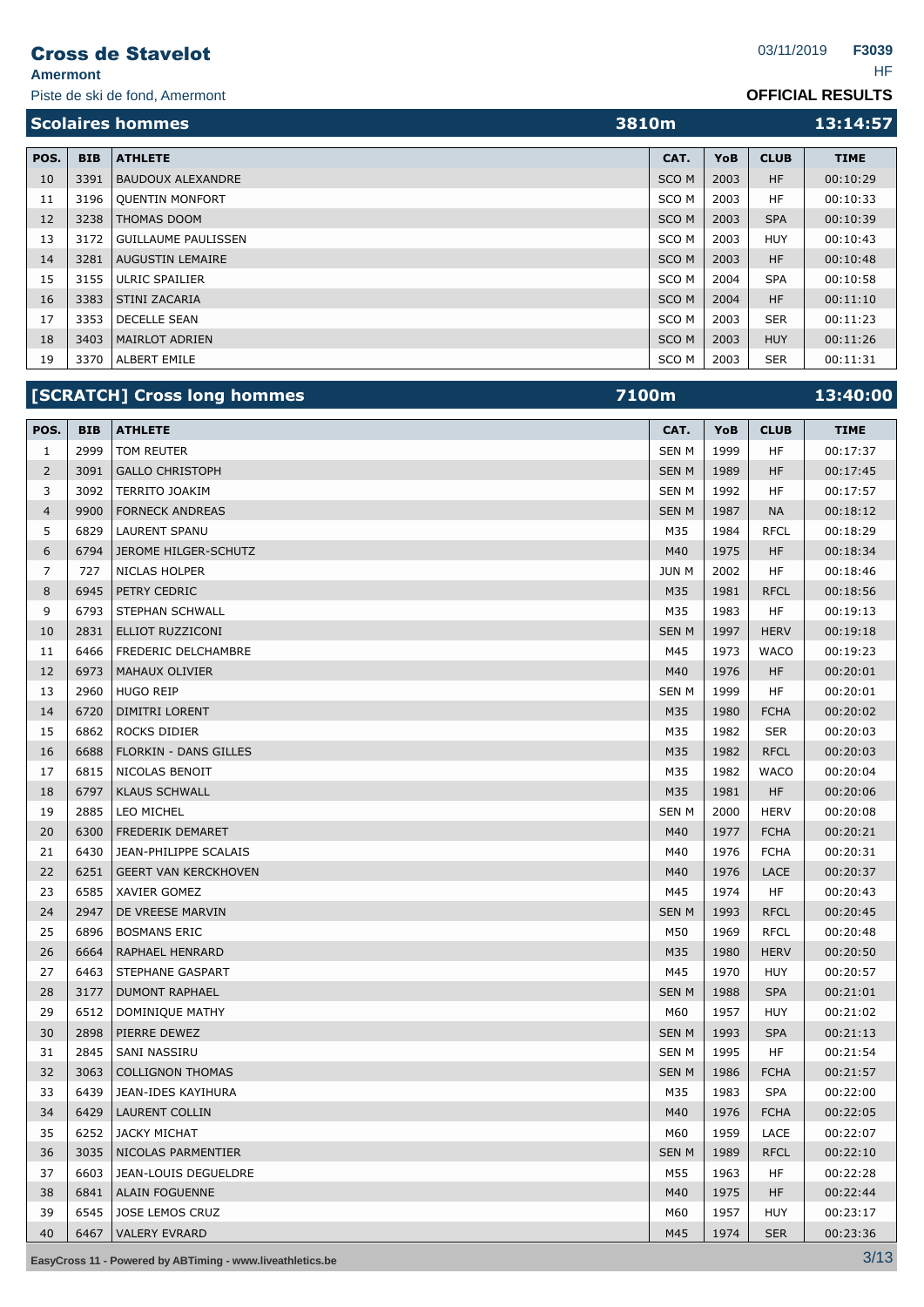**Amermont** HF

Piste de ski de fond, Amermont

**OFFICIAL RESULTS**

| <b>Scolaires hommes</b> |            |                            | 3810m            |            |             | 13:14:57    |
|-------------------------|------------|----------------------------|------------------|------------|-------------|-------------|
| POS.                    | <b>BIB</b> | <b>ATHLETE</b>             | CAT.             | <b>YoB</b> | <b>CLUB</b> | <b>TIME</b> |
| 10                      | 3391       | <b>BAUDOUX ALEXANDRE</b>   | SCO <sub>M</sub> | 2003       | <b>HF</b>   | 00:10:29    |
| 11                      | 3196       | <b>OUENTIN MONFORT</b>     | SCO <sub>M</sub> | 2003       | <b>HF</b>   | 00:10:33    |
| 12                      | 3238       | THOMAS DOOM                | SCO <sub>M</sub> | 2003       | <b>SPA</b>  | 00:10:39    |
| 13                      | 3172       | <b>GUILLAUME PAULISSEN</b> | SCO <sub>M</sub> | 2003       | <b>HUY</b>  | 00:10:43    |
| 14                      | 3281       | <b>AUGUSTIN LEMAIRE</b>    | SCO <sub>M</sub> | 2003       | <b>HF</b>   | 00:10:48    |
| 15                      | 3155       | <b>ULRIC SPAILIER</b>      | SCO <sub>M</sub> | 2004       | <b>SPA</b>  | 00:10:58    |
| 16                      | 3383       | STINI ZACARIA              | SCO <sub>M</sub> | 2004       | <b>HF</b>   | 00:11:10    |
| 17                      | 3353       | <b>DECELLE SEAN</b>        | SCO <sub>M</sub> | 2003       | <b>SER</b>  | 00:11:23    |
| 18                      | 3403       | <b>MAIRLOT ADRIEN</b>      | SCO <sub>M</sub> | 2003       | <b>HUY</b>  | 00:11:26    |
| 19                      | 3370       | ALBERT EMILE               | SCO <sub>M</sub> | 2003       | <b>SER</b>  | 00:11:31    |

|                |            | [SCRATCH] Cross long hommes | 7100m        |      |             | 13:40:00    |  |
|----------------|------------|-----------------------------|--------------|------|-------------|-------------|--|
| POS.           | <b>BIB</b> | <b>ATHLETE</b>              | CAT.         | YoB  | <b>CLUB</b> | <b>TIME</b> |  |
| 1              | 2999       | TOM REUTER                  | <b>SEN M</b> | 1999 | HF          | 00:17:37    |  |
| 2              | 3091       | <b>GALLO CHRISTOPH</b>      | <b>SENM</b>  | 1989 | <b>HF</b>   | 00:17:45    |  |
| 3              | 3092       | <b>TERRITO JOAKIM</b>       | <b>SEN M</b> | 1992 | HF          | 00:17:57    |  |
| $\overline{4}$ | 9900       | <b>FORNECK ANDREAS</b>      | <b>SENM</b>  | 1987 | <b>NA</b>   | 00:18:12    |  |
| 5              | 6829       | <b>LAURENT SPANU</b>        | M35          | 1984 | <b>RFCL</b> | 00:18:29    |  |
| 6              | 6794       | JEROME HILGER-SCHUTZ        | M40          | 1975 | <b>HF</b>   | 00:18:34    |  |
| $\overline{7}$ | 727        | <b>NICLAS HOLPER</b>        | <b>JUN M</b> | 2002 | HF          | 00:18:46    |  |
| 8              | 6945       | PETRY CEDRIC                | M35          | 1981 | <b>RFCL</b> | 00:18:56    |  |
| 9              | 6793       | <b>STEPHAN SCHWALL</b>      | M35          | 1983 | HF          | 00:19:13    |  |
| 10             | 2831       | ELLIOT RUZZICONI            | <b>SEN M</b> | 1997 | <b>HERV</b> | 00:19:18    |  |
| 11             | 6466       | FREDERIC DELCHAMBRE         | M45          | 1973 | <b>WACO</b> | 00:19:23    |  |
| 12             | 6973       | <b>MAHAUX OLIVIER</b>       | M40          | 1976 | HF          | 00:20:01    |  |
| 13             | 2960       | <b>HUGO REIP</b>            | <b>SEN M</b> | 1999 | HF          | 00:20:01    |  |
| 14             | 6720       | DIMITRI LORENT              | M35          | 1980 | <b>FCHA</b> | 00:20:02    |  |
| 15             | 6862       | ROCKS DIDIER                | M35          | 1982 | <b>SER</b>  | 00:20:03    |  |
| 16             | 6688       | FLORKIN - DANS GILLES       | M35          | 1982 | <b>RFCL</b> | 00:20:03    |  |
| 17             | 6815       | NICOLAS BENOIT              | M35          | 1982 | <b>WACO</b> | 00:20:04    |  |
| 18             | 6797       | <b>KLAUS SCHWALL</b>        | M35          | 1981 | <b>HF</b>   | 00:20:06    |  |
| 19             | 2885       | LEO MICHEL                  | <b>SEN M</b> | 2000 | <b>HERV</b> | 00:20:08    |  |
| 20             | 6300       | <b>FREDERIK DEMARET</b>     | M40          | 1977 | <b>FCHA</b> | 00:20:21    |  |
| 21             | 6430       | JEAN-PHILIPPE SCALAIS       | M40          | 1976 | <b>FCHA</b> | 00:20:31    |  |
| 22             | 6251       | <b>GEERT VAN KERCKHOVEN</b> | M40          | 1976 | <b>LACE</b> | 00:20:37    |  |
| 23             | 6585       | XAVIER GOMEZ                | M45          | 1974 | HF          | 00:20:43    |  |
| 24             | 2947       | DE VREESE MARVIN            | <b>SEN M</b> | 1993 | <b>RFCL</b> | 00:20:45    |  |
| 25             | 6896       | <b>BOSMANS ERIC</b>         | M50          | 1969 | <b>RFCL</b> | 00:20:48    |  |
| 26             | 6664       | <b>RAPHAEL HENRARD</b>      | M35          | 1980 | <b>HERV</b> | 00:20:50    |  |
| 27             | 6463       | STEPHANE GASPART            | M45          | 1970 | <b>HUY</b>  | 00:20:57    |  |
| 28             | 3177       | <b>DUMONT RAPHAEL</b>       | <b>SENM</b>  | 1988 | <b>SPA</b>  | 00:21:01    |  |
| 29             | 6512       | DOMINIQUE MATHY             | M60          | 1957 | <b>HUY</b>  | 00:21:02    |  |
| 30             | 2898       | PIERRE DEWEZ                | <b>SENM</b>  | 1993 | <b>SPA</b>  | 00:21:13    |  |
| 31             | 2845       | <b>SANI NASSIRU</b>         | <b>SEN M</b> | 1995 | ΗF          | 00:21:54    |  |
| 32             | 3063       | <b>COLLIGNON THOMAS</b>     | <b>SEN M</b> | 1986 | <b>FCHA</b> | 00:21:57    |  |
| 33             | 6439       | JEAN-IDES KAYIHURA          | M35          | 1983 | <b>SPA</b>  | 00:22:00    |  |
| 34             | 6429       | <b>LAURENT COLLIN</b>       | M40          | 1976 | <b>FCHA</b> | 00:22:05    |  |
| 35             | 6252       | <b>JACKY MICHAT</b>         | M60          | 1959 | LACE        | 00:22:07    |  |
| 36             | 3035       | NICOLAS PARMENTIER          | <b>SEN M</b> | 1989 | <b>RFCL</b> | 00:22:10    |  |
| 37             | 6603       | JEAN-LOUIS DEGUELDRE        | M55          | 1963 | HF          | 00:22:28    |  |
| 38             | 6841       | <b>ALAIN FOGUENNE</b>       | M40          | 1975 | HF          | 00:22:44    |  |
| 39             | 6545       | JOSE LEMOS CRUZ             | M60          | 1957 | <b>HUY</b>  | 00:23:17    |  |
| 40             | 6467       | <b>VALERY EVRARD</b>        | M45          | 1974 | <b>SER</b>  | 00:23:36    |  |

**EasyCross <sup>11</sup> - Powered by ABTiming - www.liveathletics.be** 3/13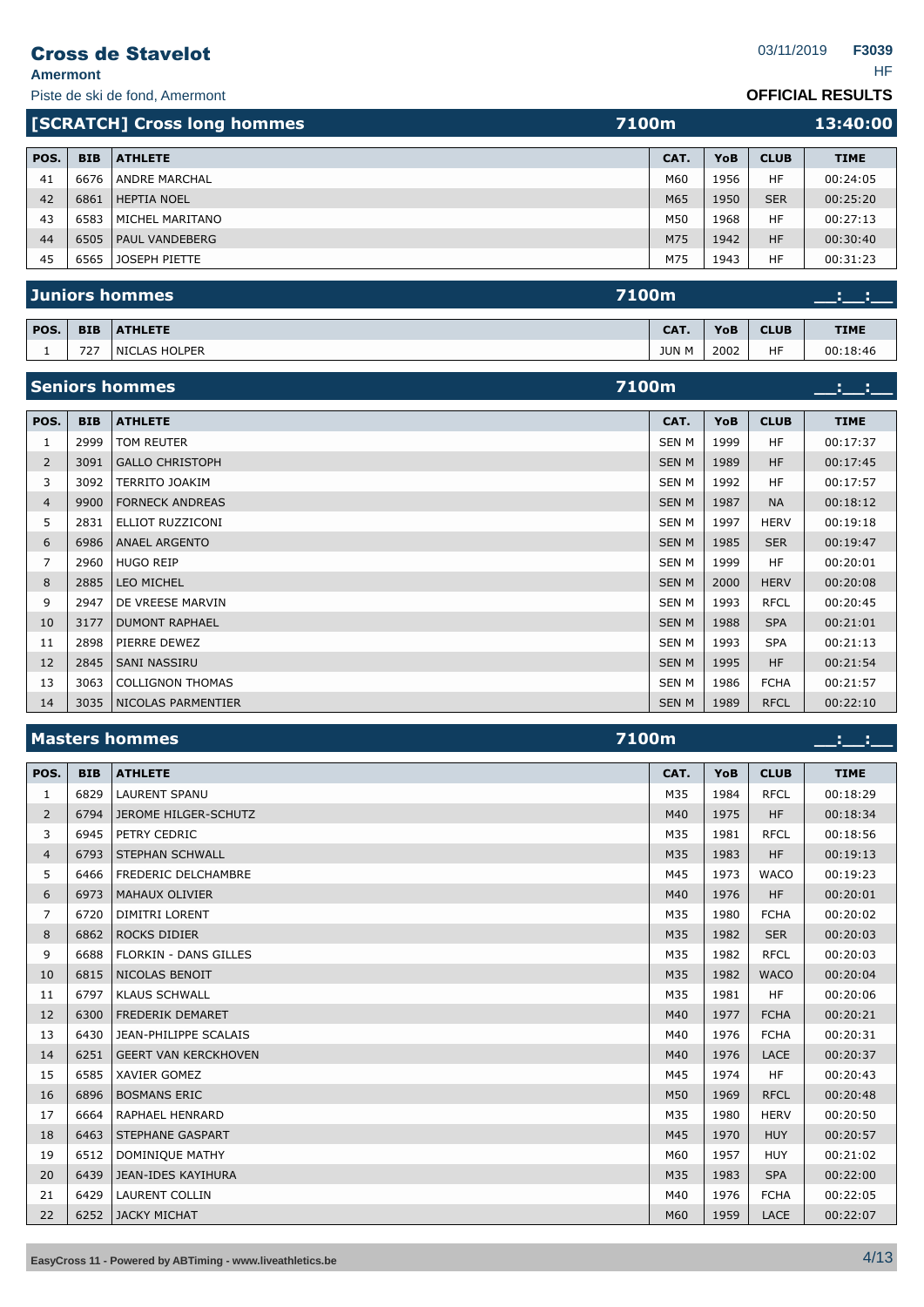**Amermont** HF

## **OFFICIAL RESULTS**

|      |            | <b>[SCRATCH] Cross long hommes</b> | 7100m |      |             | 13:40:00    |
|------|------------|------------------------------------|-------|------|-------------|-------------|
| POS. | <b>BIB</b> | <b>ATHLETE</b>                     | CAT.  | YoB  | <b>CLUB</b> | <b>TIME</b> |
| 41   | 6676       | <b>ANDRE MARCHAL</b>               | M60   | 1956 | HF          | 00:24:05    |
| 42   | 6861       | <b>HEPTIA NOEL</b>                 | M65   | 1950 | <b>SER</b>  | 00:25:20    |
| 43   | 6583       | MICHEL MARITANO                    | M50   | 1968 | HF          | 00:27:13    |
| 44   | 6505       | PAUL VANDEBERG                     | M75   | 1942 | <b>HF</b>   | 00:30:40    |
| 45   | 6565       | JOSEPH PIETTE                      | M75   | 1943 | HF          | 00:31:23    |
|      |            |                                    |       |      |             |             |

|      |            | Juniors hommes | <b>7100m</b> |      |             |          |  |
|------|------------|----------------|--------------|------|-------------|----------|--|
| POS. | <b>BIB</b> | <b>ATHLETE</b> | CAT.         | YoB  | <b>TIME</b> |          |  |
|      | 727        | NICLAS HOLPER  | <b>JUN M</b> | 2002 | <b>HF</b>   | 00:18:46 |  |

|                |            | <b>Seniors hommes</b>   | 7100m        |      |             |             |
|----------------|------------|-------------------------|--------------|------|-------------|-------------|
| POS.           | <b>BIB</b> | <b>ATHLETE</b>          | CAT.         | YoB  | <b>CLUB</b> | <b>TIME</b> |
| 1              | 2999       | TOM REUTER              | <b>SEN M</b> | 1999 | <b>HF</b>   | 00:17:37    |
| $\overline{2}$ | 3091       | <b>GALLO CHRISTOPH</b>  | <b>SENM</b>  | 1989 | <b>HF</b>   | 00:17:45    |
| 3              | 3092       | TERRITO JOAKIM          | <b>SEN M</b> | 1992 | <b>HF</b>   | 00:17:57    |
| $\overline{4}$ | 9900       | <b>FORNECK ANDREAS</b>  | <b>SEN M</b> | 1987 | <b>NA</b>   | 00:18:12    |
| 5              | 2831       | ELLIOT RUZZICONI        | <b>SEN M</b> | 1997 | <b>HERV</b> | 00:19:18    |
| 6              | 6986       | <b>ANAEL ARGENTO</b>    | <b>SENM</b>  | 1985 | <b>SER</b>  | 00:19:47    |
| 7              | 2960       | <b>HUGO REIP</b>        | <b>SEN M</b> | 1999 | <b>HF</b>   | 00:20:01    |
| 8              | 2885       | <b>LEO MICHEL</b>       | <b>SEN M</b> | 2000 | <b>HERV</b> | 00:20:08    |
| 9              | 2947       | DE VREESE MARVIN        | <b>SEN M</b> | 1993 | <b>RFCL</b> | 00:20:45    |
| 10             | 3177       | <b>DUMONT RAPHAEL</b>   | <b>SEN M</b> | 1988 | <b>SPA</b>  | 00:21:01    |
| 11             | 2898       | PIERRE DEWEZ            | SEN M        | 1993 | <b>SPA</b>  | 00:21:13    |
| 12             | 2845       | <b>SANI NASSIRU</b>     | <b>SENM</b>  | 1995 | <b>HF</b>   | 00:21:54    |
| 13             | 3063       | <b>COLLIGNON THOMAS</b> | <b>SEN M</b> | 1986 | <b>FCHA</b> | 00:21:57    |
| 14             | 3035       | NICOLAS PARMENTIER      | <b>SEN M</b> | 1989 | <b>RFCL</b> | 00:22:10    |

# **Masters hommes 7100m \_\_:\_\_:\_\_**

| POS.           | <b>BIB</b> | <b>ATHLETE</b>               | CAT. | YoB  | <b>CLUB</b> | <b>TIME</b> |
|----------------|------------|------------------------------|------|------|-------------|-------------|
| 1              | 6829       | <b>LAURENT SPANU</b>         | M35  | 1984 | <b>RFCL</b> | 00:18:29    |
| 2              | 6794       | <b>JEROME HILGER-SCHUTZ</b>  | M40  | 1975 | <b>HF</b>   | 00:18:34    |
| 3              | 6945       | PETRY CEDRIC                 | M35  | 1981 | <b>RFCL</b> | 00:18:56    |
| $\overline{4}$ | 6793       | <b>STEPHAN SCHWALL</b>       | M35  | 1983 | HF          | 00:19:13    |
| 5              | 6466       | FREDERIC DELCHAMBRE          | M45  | 1973 | <b>WACO</b> | 00:19:23    |
| 6              | 6973       | <b>MAHAUX OLIVIER</b>        | M40  | 1976 | <b>HF</b>   | 00:20:01    |
| 7              | 6720       | <b>DIMITRI LORENT</b>        | M35  | 1980 | <b>FCHA</b> | 00:20:02    |
| 8              | 6862       | <b>ROCKS DIDIER</b>          | M35  | 1982 | <b>SER</b>  | 00:20:03    |
| 9              | 6688       | <b>FLORKIN - DANS GILLES</b> | M35  | 1982 | <b>RFCL</b> | 00:20:03    |
| 10             | 6815       | NICOLAS BENOIT               | M35  | 1982 | <b>WACO</b> | 00:20:04    |
| 11             | 6797       | <b>KLAUS SCHWALL</b>         | M35  | 1981 | <b>HF</b>   | 00:20:06    |
| 12             | 6300       | <b>FREDERIK DEMARET</b>      | M40  | 1977 | <b>FCHA</b> | 00:20:21    |
| 13             | 6430       | JEAN-PHILIPPE SCALAIS        | M40  | 1976 | <b>FCHA</b> | 00:20:31    |
| 14             | 6251       | <b>GEERT VAN KERCKHOVEN</b>  | M40  | 1976 | <b>LACE</b> | 00:20:37    |
| 15             | 6585       | <b>XAVIER GOMEZ</b>          | M45  | 1974 | <b>HF</b>   | 00:20:43    |
| 16             | 6896       | <b>BOSMANS ERIC</b>          | M50  | 1969 | <b>RFCL</b> | 00:20:48    |
| 17             | 6664       | <b>RAPHAEL HENRARD</b>       | M35  | 1980 | <b>HERV</b> | 00:20:50    |
| 18             | 6463       | <b>STEPHANE GASPART</b>      | M45  | 1970 | <b>HUY</b>  | 00:20:57    |
| 19             | 6512       | <b>DOMINIQUE MATHY</b>       | M60  | 1957 | <b>HUY</b>  | 00:21:02    |
| 20             | 6439       | <b>JEAN-IDES KAYIHURA</b>    | M35  | 1983 | <b>SPA</b>  | 00:22:00    |
| 21             | 6429       | <b>LAURENT COLLIN</b>        | M40  | 1976 | <b>FCHA</b> | 00:22:05    |
| 22             | 6252       | <b>JACKY MICHAT</b>          | M60  | 1959 | LACE        | 00:22:07    |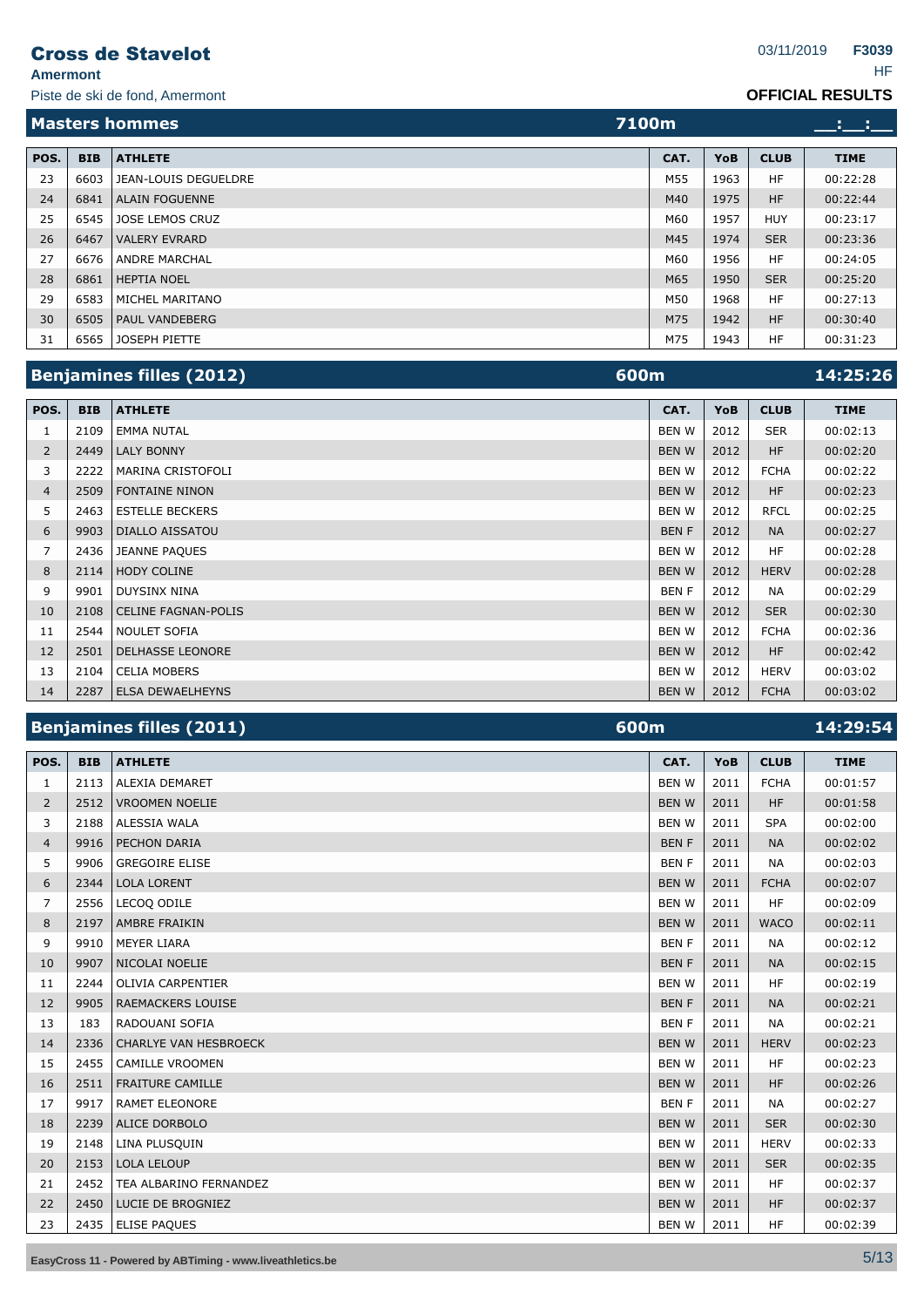**Amermont** HF

Piste de ski de fond, Amermont

#### **OFFICIAL RESULTS**

|      |            | <b>Masters hommes</b>  | 7100m |      |             |             |
|------|------------|------------------------|-------|------|-------------|-------------|
| POS. |            |                        |       |      |             |             |
|      | <b>BIB</b> | <b>ATHLETE</b>         | CAT.  | YoB  | <b>CLUB</b> | <b>TIME</b> |
| 23   | 6603       | JEAN-LOUIS DEGUELDRE   | M55   | 1963 | HF          | 00:22:28    |
| 24   | 6841       | <b>ALAIN FOGUENNE</b>  | M40   | 1975 | <b>HF</b>   | 00:22:44    |
| 25   | 6545       | <b>JOSE LEMOS CRUZ</b> | M60   | 1957 | <b>HUY</b>  | 00:23:17    |
| 26   | 6467       | <b>VALERY EVRARD</b>   | M45   | 1974 | <b>SER</b>  | 00:23:36    |
| 27   | 6676       | <b>ANDRE MARCHAL</b>   | M60   | 1956 | HF          | 00:24:05    |
| 28   | 6861       | <b>HEPTIA NOEL</b>     | M65   | 1950 | <b>SER</b>  | 00:25:20    |
| 29   | 6583       | MICHEL MARITANO        | M50   | 1968 | HF          | 00:27:13    |
| 30   | 6505       | <b>PAUL VANDEBERG</b>  | M75   | 1942 | <b>HF</b>   | 00:30:40    |
| 31   | 6565       | JOSEPH PIETTE          | M75   | 1943 | <b>HF</b>   | 00:31:23    |

|                |            | <b>Benjamines filles (2012)</b> | 600m         |      |             | 14:25:26    |
|----------------|------------|---------------------------------|--------------|------|-------------|-------------|
| POS.           | <b>BIB</b> | <b>ATHLETE</b>                  | CAT.         | YoB  | <b>CLUB</b> | <b>TIME</b> |
| 1              | 2109       | <b>EMMA NUTAL</b>               | <b>BEN W</b> | 2012 | <b>SER</b>  | 00:02:13    |
| $\overline{2}$ | 2449       | <b>LALY BONNY</b>               | <b>BEN W</b> | 2012 | <b>HF</b>   | 00:02:20    |
| 3              | 2222       | <b>MARINA CRISTOFOLI</b>        | <b>BEN W</b> | 2012 | <b>FCHA</b> | 00:02:22    |
| $\overline{4}$ | 2509       | <b>FONTAINE NINON</b>           | <b>BENW</b>  | 2012 | <b>HF</b>   | 00:02:23    |
| 5.             | 2463       | <b>ESTELLE BECKERS</b>          | <b>BEN W</b> | 2012 | <b>RFCL</b> | 00:02:25    |
| 6              | 9903       | <b>DIALLO AISSATOU</b>          | <b>BENF</b>  | 2012 | <b>NA</b>   | 00:02:27    |
| 7              | 2436       | <b>JEANNE PAQUES</b>            | <b>BEN W</b> | 2012 | <b>HF</b>   | 00:02:28    |
| 8              | 2114       | <b>HODY COLINE</b>              | <b>BEN W</b> | 2012 | <b>HERV</b> | 00:02:28    |
| 9              | 9901       | <b>DUYSINX NINA</b>             | <b>BENF</b>  | 2012 | <b>NA</b>   | 00:02:29    |
| 10             | 2108       | <b>CELINE FAGNAN-POLIS</b>      | <b>BENW</b>  | 2012 | <b>SER</b>  | 00:02:30    |
| 11             | 2544       | <b>NOULET SOFIA</b>             | <b>BEN W</b> | 2012 | <b>FCHA</b> | 00:02:36    |
| 12             | 2501       | <b>DELHASSE LEONORE</b>         | <b>BENW</b>  | 2012 | <b>HF</b>   | 00:02:42    |
| 13             | 2104       | <b>CELIA MOBERS</b>             | <b>BENW</b>  | 2012 | <b>HERV</b> | 00:03:02    |
| 14             | 2287       | <b>ELSA DEWAELHEYNS</b>         | <b>BEN W</b> | 2012 | <b>FCHA</b> | 00:03:02    |

# **Benjamines filles (2011) 600m 14:29:54**

| POS.           | <b>BIB</b> | <b>ATHLETE</b>               | CAT.         | YoB  | <b>CLUB</b> | <b>TIME</b> |
|----------------|------------|------------------------------|--------------|------|-------------|-------------|
| 1              | 2113       | <b>ALEXIA DEMARET</b>        | <b>BENW</b>  | 2011 | <b>FCHA</b> | 00:01:57    |
| 2              | 2512       | <b>VROOMEN NOELIE</b>        | <b>BENW</b>  | 2011 | <b>HF</b>   | 00:01:58    |
| 3              | 2188       | ALESSIA WALA                 | <b>BENW</b>  | 2011 | <b>SPA</b>  | 00:02:00    |
| $\overline{4}$ | 9916       | PECHON DARIA                 | <b>BENF</b>  | 2011 | <b>NA</b>   | 00:02:02    |
| 5              | 9906       | <b>GREGOIRE ELISE</b>        | <b>BENF</b>  | 2011 | <b>NA</b>   | 00:02:03    |
| 6              | 2344       | <b>LOLA LORENT</b>           | <b>BENW</b>  | 2011 | <b>FCHA</b> | 00:02:07    |
| $\overline{7}$ | 2556       | LECOO ODILE                  | <b>BENW</b>  | 2011 | <b>HF</b>   | 00:02:09    |
| 8              | 2197       | AMBRE FRAIKIN                | <b>BENW</b>  | 2011 | <b>WACO</b> | 00:02:11    |
| 9              | 9910       | <b>MEYER LIARA</b>           | <b>BENF</b>  | 2011 | <b>NA</b>   | 00:02:12    |
| 10             | 9907       | NICOLAI NOELIE               | <b>BENF</b>  | 2011 | <b>NA</b>   | 00:02:15    |
| 11             | 2244       | <b>OLIVIA CARPENTIER</b>     | <b>BENW</b>  | 2011 | <b>HF</b>   | 00:02:19    |
| 12             | 9905       | <b>RAEMACKERS LOUISE</b>     | <b>BENF</b>  | 2011 | <b>NA</b>   | 00:02:21    |
| 13             | 183        | RADOUANI SOFIA               | <b>BENF</b>  | 2011 | <b>NA</b>   | 00:02:21    |
| 14             | 2336       | <b>CHARLYE VAN HESBROECK</b> | <b>BENW</b>  | 2011 | <b>HERV</b> | 00:02:23    |
| 15             | 2455       | <b>CAMILLE VROOMEN</b>       | <b>BEN W</b> | 2011 | HF.         | 00:02:23    |
| 16             | 2511       | <b>FRAITURE CAMILLE</b>      | <b>BENW</b>  | 2011 | <b>HF</b>   | 00:02:26    |
| 17             | 9917       | <b>RAMET ELEONORE</b>        | <b>BENF</b>  | 2011 | <b>NA</b>   | 00:02:27    |
| 18             | 2239       | <b>ALICE DORBOLO</b>         | <b>BENW</b>  | 2011 | <b>SER</b>  | 00:02:30    |
| 19             | 2148       | LINA PLUSQUIN                | <b>BENW</b>  | 2011 | <b>HERV</b> | 00:02:33    |
| 20             | 2153       | <b>LOLA LELOUP</b>           | <b>BENW</b>  | 2011 | <b>SER</b>  | 00:02:35    |
| 21             | 2452       | TEA ALBARINO FERNANDEZ       | <b>BEN W</b> | 2011 | <b>HF</b>   | 00:02:37    |
| 22             | 2450       | LUCIE DE BROGNIEZ            | <b>BENW</b>  | 2011 | <b>HF</b>   | 00:02:37    |
| 23             | 2435       | <b>ELISE PAQUES</b>          | <b>BEN W</b> | 2011 | <b>HF</b>   | 00:02:39    |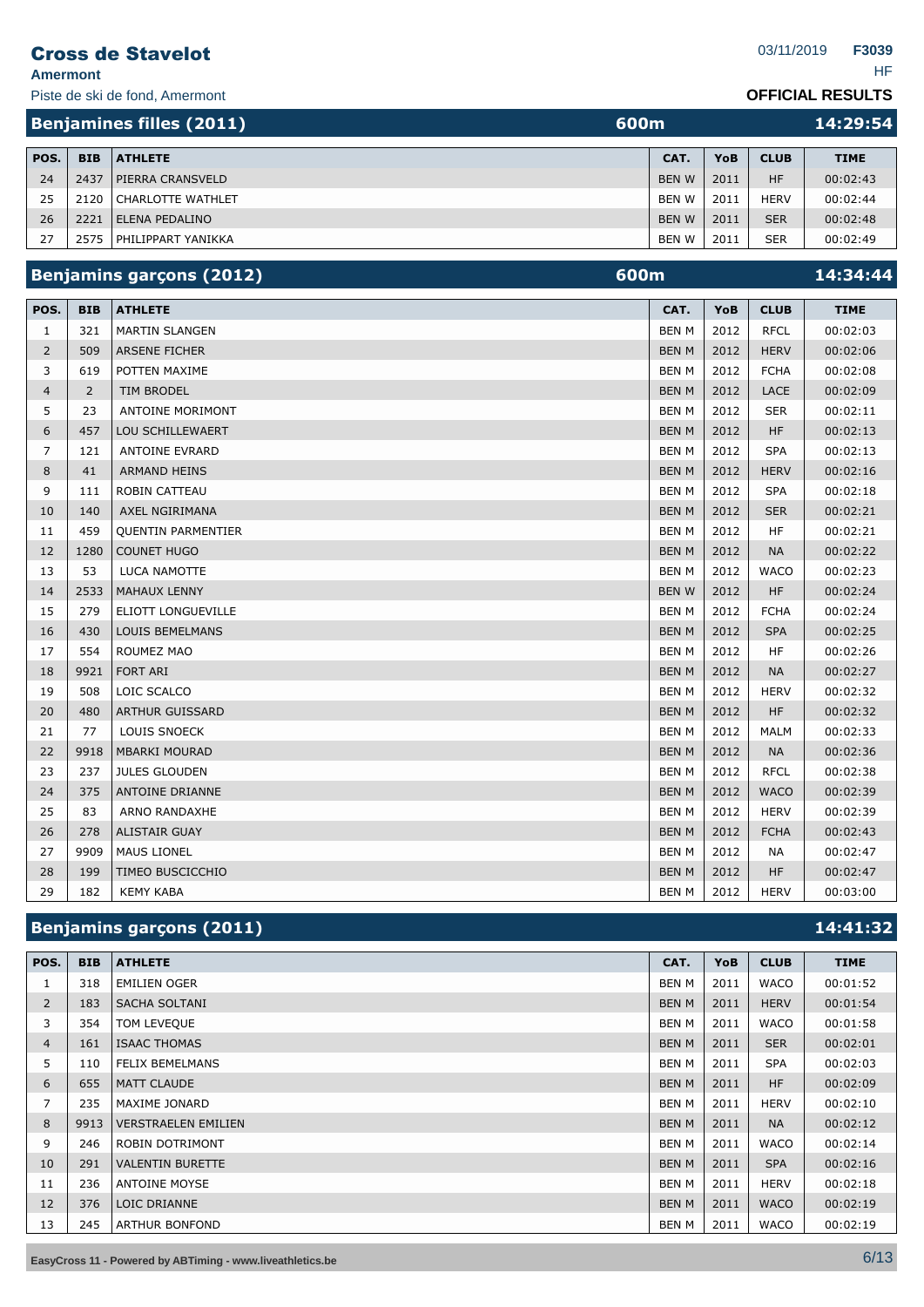**Amermont** HF

Piste de ski de fond, Amermont

**F3039**

#### **OFFICIAL RESULTS**

|      |            | <b>Benjamines filles (2011)</b><br>600m |              |      |             | 14:29:54    |
|------|------------|-----------------------------------------|--------------|------|-------------|-------------|
| POS. | <b>BIB</b> | <b>ATHLETE</b>                          | CAT.         | YoB  | <b>CLUB</b> | <b>TIME</b> |
| 24   | 2437       | <b>PIERRA CRANSVELD</b>                 | <b>BENW</b>  | 2011 | <b>HF</b>   | 00:02:43    |
| 25   | 2120       | CHARLOTTE WATHLET                       | <b>BEN W</b> | 2011 | <b>HERV</b> | 00:02:44    |
| 26   | 2221       | <b>LELENA PEDALINO</b>                  | <b>BENW</b>  | 2011 | <b>SER</b>  | 00:02:48    |
| 27   | 2575       | <b>PHILIPPART YANIKKA</b>               | <b>BENW</b>  | 2011 | <b>SER</b>  | 00:02:49    |

# **Benjamins garçons (2012) 14:34:44**

| POS.           | <b>BIB</b>     | <b>ATHLETE</b>            | CAT.         | YoB  | <b>CLUB</b> | <b>TIME</b> |
|----------------|----------------|---------------------------|--------------|------|-------------|-------------|
| 1              | 321            | <b>MARTIN SLANGEN</b>     | <b>BEN M</b> | 2012 | <b>RFCL</b> | 00:02:03    |
| $\overline{2}$ | 509            | <b>ARSENE FICHER</b>      | <b>BEN M</b> | 2012 | <b>HERV</b> | 00:02:06    |
| 3              | 619            | POTTEN MAXIME             | <b>BEN M</b> | 2012 | <b>FCHA</b> | 00:02:08    |
| $\overline{4}$ | $\overline{2}$ | <b>TIM BRODEL</b>         | <b>BEN M</b> | 2012 | <b>LACE</b> | 00:02:09    |
| 5              | 23             | <b>ANTOINE MORIMONT</b>   | <b>BEN M</b> | 2012 | <b>SER</b>  | 00:02:11    |
| 6              | 457            | <b>LOU SCHILLEWAERT</b>   | <b>BEN M</b> | 2012 | <b>HF</b>   | 00:02:13    |
| $\overline{7}$ | 121            | <b>ANTOINE EVRARD</b>     | <b>BEN M</b> | 2012 | <b>SPA</b>  | 00:02:13    |
| 8              | 41             | <b>ARMAND HEINS</b>       | <b>BEN M</b> | 2012 | <b>HERV</b> | 00:02:16    |
| 9              | 111            | <b>ROBIN CATTEAU</b>      | <b>BEN M</b> | 2012 | <b>SPA</b>  | 00:02:18    |
| 10             | 140            | AXEL NGIRIMANA            | <b>BEN M</b> | 2012 | <b>SER</b>  | 00:02:21    |
| 11             | 459            | <b>QUENTIN PARMENTIER</b> | <b>BEN M</b> | 2012 | <b>HF</b>   | 00:02:21    |
| 12             | 1280           | <b>COUNET HUGO</b>        | <b>BEN M</b> | 2012 | <b>NA</b>   | 00:02:22    |
| 13             | 53             | LUCA NAMOTTE              | <b>BEN M</b> | 2012 | <b>WACO</b> | 00:02:23    |
| 14             | 2533           | <b>MAHAUX LENNY</b>       | <b>BENW</b>  | 2012 | <b>HF</b>   | 00:02:24    |
| 15             | 279            | ELIOTT LONGUEVILLE        | <b>BEN M</b> | 2012 | <b>FCHA</b> | 00:02:24    |
| 16             | 430            | <b>LOUIS BEMELMANS</b>    | <b>BEN M</b> | 2012 | <b>SPA</b>  | 00:02:25    |
| 17             | 554            | ROUMEZ MAO                | <b>BEN M</b> | 2012 | <b>HF</b>   | 00:02:26    |
| 18             | 9921           | <b>FORT ARI</b>           | <b>BEN M</b> | 2012 | <b>NA</b>   | 00:02:27    |
| 19             | 508            | LOIC SCALCO               | <b>BEN M</b> | 2012 | <b>HERV</b> | 00:02:32    |
| 20             | 480            | <b>ARTHUR GUISSARD</b>    | <b>BEN M</b> | 2012 | <b>HF</b>   | 00:02:32    |
| 21             | 77             | <b>LOUIS SNOECK</b>       | <b>BEN M</b> | 2012 | <b>MALM</b> | 00:02:33    |
| 22             | 9918           | <b>MBARKI MOURAD</b>      | <b>BEN M</b> | 2012 | <b>NA</b>   | 00:02:36    |
| 23             | 237            | <b>JULES GLOUDEN</b>      | <b>BEN M</b> | 2012 | <b>RFCL</b> | 00:02:38    |
| 24             | 375            | <b>ANTOINE DRIANNE</b>    | <b>BEN M</b> | 2012 | <b>WACO</b> | 00:02:39    |
| 25             | 83             | <b>ARNO RANDAXHE</b>      | <b>BEN M</b> | 2012 | <b>HERV</b> | 00:02:39    |
| 26             | 278            | <b>ALISTAIR GUAY</b>      | <b>BEN M</b> | 2012 | <b>FCHA</b> | 00:02:43    |
| 27             | 9909           | <b>MAUS LIONEL</b>        | <b>BEN M</b> | 2012 | NА          | 00:02:47    |
| 28             | 199            | <b>TIMEO BUSCICCHIO</b>   | <b>BEN M</b> | 2012 | <b>HF</b>   | 00:02:47    |
| 29             | 182            | <b>KEMY KABA</b>          | <b>BEN M</b> | 2012 | <b>HERV</b> | 00:03:00    |

# **Benjamins garçons (2011) 14:41:32**

| POS.           | <b>BIB</b> | <b>ATHLETE</b>             | CAT.         | <b>YoB</b> | <b>CLUB</b> | <b>TIME</b> |
|----------------|------------|----------------------------|--------------|------------|-------------|-------------|
| 1              | 318        | <b>EMILIEN OGER</b>        | BEN M        | 2011       | <b>WACO</b> | 00:01:52    |
| $\overline{2}$ | 183        | <b>SACHA SOLTANI</b>       | <b>BEN M</b> | 2011       | <b>HERV</b> | 00:01:54    |
| 3              | 354        | TOM LEVEQUE                | <b>BEN M</b> | 2011       | <b>WACO</b> | 00:01:58    |
| $\overline{4}$ | 161        | <b>ISAAC THOMAS</b>        | <b>BEN M</b> | 2011       | <b>SER</b>  | 00:02:01    |
| 5              | 110        | <b>FELIX BEMELMANS</b>     | <b>BEN M</b> | 2011       | <b>SPA</b>  | 00:02:03    |
| 6              | 655        | MATT CLAUDE                | <b>BEN M</b> | 2011       | <b>HF</b>   | 00:02:09    |
| 7              | 235        | MAXIME JONARD              | <b>BEN M</b> | 2011       | <b>HERV</b> | 00:02:10    |
| 8              | 9913       | <b>VERSTRAELEN EMILIEN</b> | <b>BEN M</b> | 2011       | <b>NA</b>   | 00:02:12    |
| 9              | 246        | <b>ROBIN DOTRIMONT</b>     | <b>BEN M</b> | 2011       | <b>WACO</b> | 00:02:14    |
| 10             | 291        | <b>VALENTIN BURETTE</b>    | <b>BEN M</b> | 2011       | <b>SPA</b>  | 00:02:16    |
| 11             | 236        | <b>ANTOINE MOYSE</b>       | <b>BEN M</b> | 2011       | <b>HERV</b> | 00:02:18    |
| 12             | 376        | LOIC DRIANNE               | <b>BEN M</b> | 2011       | <b>WACO</b> | 00:02:19    |
| 13             | 245        | <b>ARTHUR BONFOND</b>      | <b>BEN M</b> | 2011       | <b>WACO</b> | 00:02:19    |

**EasyCross <sup>11</sup> - Powered by ABTiming - www.liveathletics.be** 6/13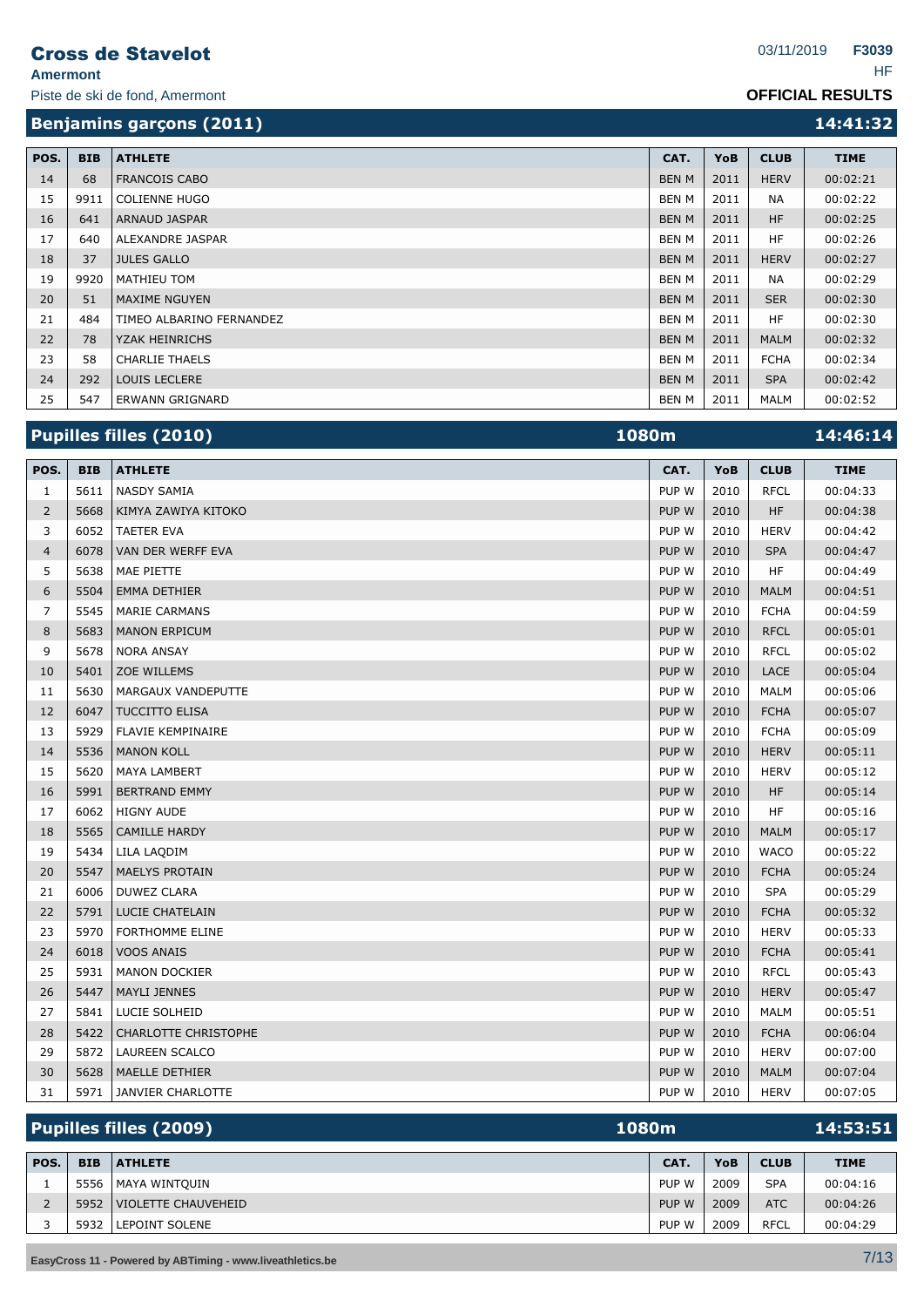Piste de ski de fond, Amermont

#### **OFFICIAL RESULTS**

**Benjamins garçons (2011) 14:41:32** 

| POS. | <b>BIB</b> | <b>ATHLETE</b>           | CAT.         | <b>YoB</b> | <b>CLUB</b> | <b>TIME</b> |
|------|------------|--------------------------|--------------|------------|-------------|-------------|
| 14   | 68         | <b>FRANCOIS CABO</b>     | <b>BEN M</b> | 2011       | <b>HERV</b> | 00:02:21    |
| 15   | 9911       | <b>COLIENNE HUGO</b>     | <b>BEN M</b> | 2011       | <b>NA</b>   | 00:02:22    |
| 16   | 641        | <b>ARNAUD JASPAR</b>     | <b>BEN M</b> | 2011       | <b>HF</b>   | 00:02:25    |
| 17   | 640        | ALEXANDRE JASPAR         | BEN M        | 2011       | <b>HF</b>   | 00:02:26    |
| 18   | 37         | <b>JULES GALLO</b>       | <b>BEN M</b> | 2011       | <b>HERV</b> | 00:02:27    |
| 19   | 9920       | MATHIEU TOM              | BEN M        | 2011       | <b>NA</b>   | 00:02:29    |
| 20   | 51         | <b>MAXIME NGUYEN</b>     | <b>BEN M</b> | 2011       | <b>SER</b>  | 00:02:30    |
| 21   | 484        | TIMEO ALBARINO FERNANDEZ | BEN M        | 2011       | HF.         | 00:02:30    |
| 22   | 78         | <b>YZAK HEINRICHS</b>    | <b>BEN M</b> | 2011       | <b>MALM</b> | 00:02:32    |
| 23   | 58         | <b>CHARLIE THAELS</b>    | BEN M        | 2011       | <b>FCHA</b> | 00:02:34    |
| 24   | 292        | <b>LOUIS LECLERE</b>     | <b>BEN M</b> | 2011       | <b>SPA</b>  | 00:02:42    |
| 25   | 547        | ERWANN GRIGNARD          | BEN M        | 2011       | MALM        | 00:02:52    |

|                |            | <b>Pupilles filles (2010)</b> | 1080m |      |             | 14:46:14    |
|----------------|------------|-------------------------------|-------|------|-------------|-------------|
| POS.           | <b>BIB</b> | <b>ATHLETE</b>                | CAT.  | YoB  | <b>CLUB</b> | <b>TIME</b> |
| $\mathbf{1}$   | 5611       | <b>NASDY SAMIA</b>            | PUP W | 2010 | <b>RFCL</b> | 00:04:33    |
| $\overline{2}$ | 5668       | KIMYA ZAWIYA KITOKO           | PUP W | 2010 | <b>HF</b>   | 00:04:38    |
| 3              | 6052       | <b>TAETER EVA</b>             | PUP W | 2010 | <b>HERV</b> | 00:04:42    |
| $\overline{4}$ | 6078       | VAN DER WERFF EVA             | PUP W | 2010 | <b>SPA</b>  | 00:04:47    |
| 5              | 5638       | MAE PIETTE                    | PUP W | 2010 | HF          | 00:04:49    |
| 6              | 5504       | <b>EMMA DETHIER</b>           | PUP W | 2010 | <b>MALM</b> | 00:04:51    |
| $\overline{7}$ | 5545       | <b>MARIE CARMANS</b>          | PUP W | 2010 | <b>FCHA</b> | 00:04:59    |
| 8              | 5683       | <b>MANON ERPICUM</b>          | PUP W | 2010 | <b>RFCL</b> | 00:05:01    |
| 9              | 5678       | <b>NORA ANSAY</b>             | PUP W | 2010 | <b>RFCL</b> | 00:05:02    |
| 10             | 5401       | <b>ZOE WILLEMS</b>            | PUP W | 2010 | LACE        | 00:05:04    |
| 11             | 5630       | MARGAUX VANDEPUTTE            | PUP W | 2010 | <b>MALM</b> | 00:05:06    |
| 12             | 6047       | TUCCITTO ELISA                | PUP W | 2010 | <b>FCHA</b> | 00:05:07    |
| 13             | 5929       | FLAVIE KEMPINAIRE             | PUP W | 2010 | <b>FCHA</b> | 00:05:09    |
| 14             | 5536       | <b>MANON KOLL</b>             | PUP W | 2010 | <b>HERV</b> | 00:05:11    |
| 15             | 5620       | <b>MAYA LAMBERT</b>           | PUP W | 2010 | <b>HERV</b> | 00:05:12    |
| 16             | 5991       | <b>BERTRAND EMMY</b>          | PUP W | 2010 | <b>HF</b>   | 00:05:14    |
| 17             | 6062       | <b>HIGNY AUDE</b>             | PUP W | 2010 | HF          | 00:05:16    |
| 18             | 5565       | <b>CAMILLE HARDY</b>          | PUP W | 2010 | <b>MALM</b> | 00:05:17    |
| 19             | 5434       | LILA LAQDIM                   | PUP W | 2010 | <b>WACO</b> | 00:05:22    |
| 20             | 5547       | <b>MAELYS PROTAIN</b>         | PUP W | 2010 | <b>FCHA</b> | 00:05:24    |
| 21             | 6006       | <b>DUWEZ CLARA</b>            | PUP W | 2010 | <b>SPA</b>  | 00:05:29    |
| 22             | 5791       | <b>LUCIE CHATELAIN</b>        | PUP W | 2010 | <b>FCHA</b> | 00:05:32    |
| 23             | 5970       | <b>FORTHOMME ELINE</b>        | PUP W | 2010 | <b>HERV</b> | 00:05:33    |
| 24             | 6018       | <b>VOOS ANAIS</b>             | PUP W | 2010 | <b>FCHA</b> | 00:05:41    |
| 25             | 5931       | <b>MANON DOCKIER</b>          | PUP W | 2010 | <b>RFCL</b> | 00:05:43    |
| 26             | 5447       | <b>MAYLI JENNES</b>           | PUP W | 2010 | <b>HERV</b> | 00:05:47    |
| 27             | 5841       | LUCIE SOLHEID                 | PUP W | 2010 | <b>MALM</b> | 00:05:51    |
| 28             | 5422       | <b>CHARLOTTE CHRISTOPHE</b>   | PUP W | 2010 | <b>FCHA</b> | 00:06:04    |
| 29             | 5872       | <b>LAUREEN SCALCO</b>         | PUP W | 2010 | <b>HERV</b> | 00:07:00    |
| 30             | 5628       | MAELLE DETHIER                | PUP W | 2010 | <b>MALM</b> | 00:07:04    |
| 31             | 5971       | JANVIER CHARLOTTE             | PUP W | 2010 | <b>HERV</b> | 00:07:05    |

| <b>Pupilles filles (2009)</b><br>1080m |  |                                                                                 |      |             | 14:53:51    |
|----------------------------------------|--|---------------------------------------------------------------------------------|------|-------------|-------------|
| <b>BIB</b>                             |  | CAT.                                                                            | YoB  | <b>CLUB</b> | <b>TIME</b> |
| 5556                                   |  | PUP W                                                                           | 2009 | <b>SPA</b>  | 00:04:16    |
| 5952                                   |  | PUP W                                                                           | 2009 | <b>ATC</b>  | 00:04:26    |
| 5932                                   |  | PUP W                                                                           | 2009 | <b>RFCL</b> | 00:04:29    |
|                                        |  | <b>ATHLETE</b><br><b>MAYA WINTOUIN</b><br>VIOLETTE CHAUVEHEID<br>LEPOINT SOLENE |      |             |             |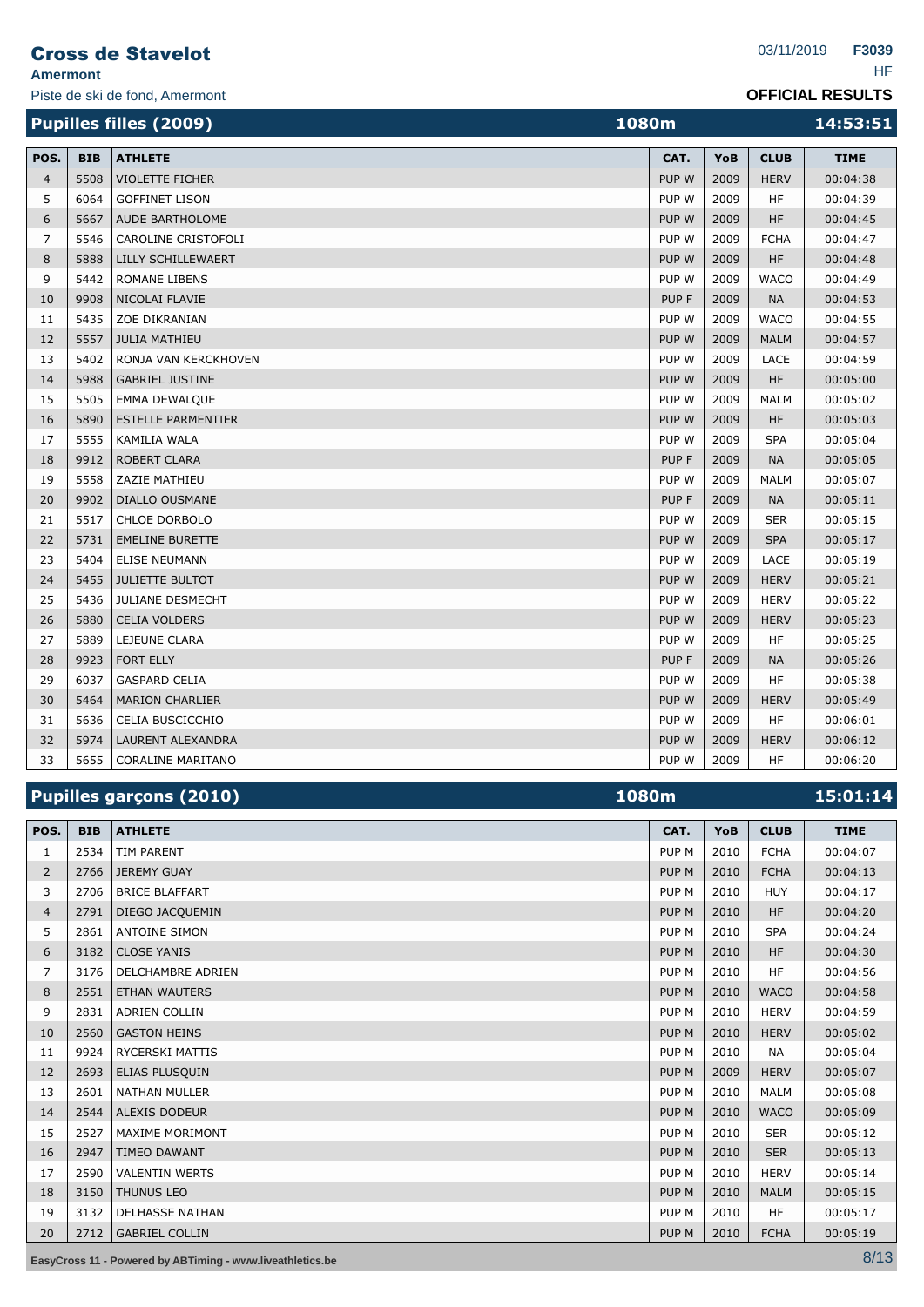| <b>Amermont</b> |            | <b>Cross de Stavelot</b>       |       |      | 03/11/2019  | F3039<br><b>HF</b>      |
|-----------------|------------|--------------------------------|-------|------|-------------|-------------------------|
|                 |            | Piste de ski de fond, Amermont |       |      |             | <b>OFFICIAL RESULTS</b> |
|                 |            | <b>Pupilles filles (2009)</b>  | 1080m |      |             | 14:53:51                |
| POS.            | <b>BIB</b> | <b>ATHLETE</b>                 | CAT.  | YoB  | <b>CLUB</b> | <b>TIME</b>             |
| $\overline{4}$  | 5508       | <b>VIOLETTE FICHER</b>         | PUP W | 2009 | <b>HERV</b> | 00:04:38                |
| 5               | 6064       | <b>GOFFINET LISON</b>          | PUP W | 2009 | HF          | 00:04:39                |
| 6               | 5667       | AUDE BARTHOLOME                | PUP W | 2009 | <b>HF</b>   | 00:04:45                |
| $\overline{7}$  | 5546       | CAROLINE CRISTOFOLI            | PUP W | 2009 | <b>FCHA</b> | 00:04:47                |
| 8               | 5888       | LILLY SCHILLEWAERT             | PUP W | 2009 | <b>HF</b>   | 00:04:48                |
| 9               | 5442       | <b>ROMANE LIBENS</b>           | PUP W | 2009 | <b>WACO</b> | 00:04:49                |
| 10              | 9908       | NICOLAI FLAVIE                 | PUP F | 2009 | <b>NA</b>   | 00:04:53                |
| 11              | 5435       | <b>ZOE DIKRANIAN</b>           | PUP W | 2009 | <b>WACO</b> | 00:04:55                |
| 12              | 5557       | <b>JULIA MATHIEU</b>           | PUP W | 2009 | <b>MALM</b> | 00:04:57                |
| 13              | 5402       | RONJA VAN KERCKHOVEN           | PUP W | 2009 | LACE        | 00:04:59                |
| 14              | 5988       | <b>GABRIEL JUSTINE</b>         | PUP W | 2009 | <b>HF</b>   | 00:05:00                |
| 15              | 5505       | <b>EMMA DEWALQUE</b>           | PUP W | 2009 | <b>MALM</b> | 00:05:02                |
| 16              | 5890       | <b>ESTELLE PARMENTIER</b>      | PUP W | 2009 | <b>HF</b>   | 00:05:03                |
| 17              | 5555       | KAMILIA WALA                   | PUP W | 2009 | <b>SPA</b>  | 00:05:04                |
| 18              | 9912       | <b>ROBERT CLARA</b>            | PUP F | 2009 | <b>NA</b>   | 00:05:05                |
| 19              | 5558       | ZAZIE MATHIEU                  | PUP W | 2009 | <b>MALM</b> | 00:05:07                |
| 20              | 9902       | <b>DIALLO OUSMANE</b>          | PUP F | 2009 | <b>NA</b>   | 00:05:11                |
| 21              | 5517       | <b>CHLOE DORBOLO</b>           | PUP W | 2009 | <b>SER</b>  | 00:05:15                |
| 22              | 5731       | <b>EMELINE BURETTE</b>         | PUP W | 2009 | <b>SPA</b>  | 00:05:17                |
| 23              | 5404       | <b>ELISE NEUMANN</b>           | PUP W | 2009 | <b>LACE</b> | 00:05:19                |
| 24              | 5455       | <b>JULIETTE BULTOT</b>         | PUP W | 2009 | <b>HERV</b> | 00:05:21                |
| 25              | 5436       | <b>JULIANE DESMECHT</b>        | PUP W | 2009 | <b>HERV</b> | 00:05:22                |
| 26              | 5880       | <b>CELIA VOLDERS</b>           | PUP W | 2009 | <b>HERV</b> | 00:05:23                |
| 27              | 5889       | LEJEUNE CLARA                  | PUP W | 2009 | <b>HF</b>   | 00:05:25                |
| 28              | 9923       | <b>FORT ELLY</b>               | PUP F | 2009 | <b>NA</b>   | 00:05:26                |
| 29              | 6037       | <b>GASPARD CELIA</b>           | PUP W | 2009 | HF          | 00:05:38                |
| 30              | 5464       | <b>MARION CHARLIER</b>         | PUP W | 2009 | <b>HERV</b> | 00:05:49                |
| 31              | 5636       | CELIA BUSCICCHIO               | PUP W | 2009 | HF          | 00:06:01                |

|      |            | <b>Pupilles garçons (2010)</b> | 1080m            |      |             | 15:01:14    |
|------|------------|--------------------------------|------------------|------|-------------|-------------|
| POS. | <b>BIB</b> | <b>ATHLETE</b>                 | CAT.             | YoB  | <b>CLUB</b> | <b>TIME</b> |
| 1    | 2534       | <b>TIM PARENT</b>              | PUP <sub>M</sub> | 2010 | <b>FCHA</b> | 00:04:07    |
| 2    | 2766       | <b>JEREMY GUAY</b>             | PUP <sub>M</sub> | 2010 | <b>FCHA</b> | 00:04:13    |
| 3    | 2706       | <b>BRICE BLAFFART</b>          | PUP <sub>M</sub> | 2010 | <b>HUY</b>  | 00:04:17    |
| 4    | 2791       | DIEGO JACQUEMIN                | PUP M            | 2010 | <b>HF</b>   | 00:04:20    |
| 5    | 2861       | <b>ANTOINE SIMON</b>           | PUP <sub>M</sub> | 2010 | <b>SPA</b>  | 00:04:24    |
| 6    | 3182       | <b>CLOSE YANIS</b>             | PUP <sub>M</sub> | 2010 | <b>HF</b>   | 00:04:30    |
| 7    | 3176       | <b>DELCHAMBRE ADRIEN</b>       | PUP <sub>M</sub> | 2010 | <b>HF</b>   | 00:04:56    |
| 8    | 2551       | <b>ETHAN WAUTERS</b>           | PUP <sub>M</sub> | 2010 | <b>WACO</b> | 00:04:58    |
| 9    | 2831       | <b>ADRIEN COLLIN</b>           | PUP <sub>M</sub> | 2010 | <b>HERV</b> | 00:04:59    |
| 10   | 2560       | <b>GASTON HEINS</b>            | PUP M            | 2010 | <b>HERV</b> | 00:05:02    |
| 11   | 9924       | <b>RYCERSKI MATTIS</b>         | PUP <sub>M</sub> | 2010 | <b>NA</b>   | 00:05:04    |
| 12   | 2693       | ELIAS PLUSQUIN                 | PUP <sub>M</sub> | 2009 | <b>HERV</b> | 00:05:07    |
| 13   | 2601       | <b>NATHAN MULLER</b>           | PUP <sub>M</sub> | 2010 | <b>MALM</b> | 00:05:08    |
| 14   | 2544       | <b>ALEXIS DODEUR</b>           | PUP M            | 2010 | <b>WACO</b> | 00:05:09    |
| 15   | 2527       | <b>MAXIME MORIMONT</b>         | PUP <sub>M</sub> | 2010 | <b>SER</b>  | 00:05:12    |
| 16   | 2947       | <b>TIMEO DAWANT</b>            | PUP <sub>M</sub> | 2010 | <b>SER</b>  | 00:05:13    |
| 17   | 2590       | <b>VALENTIN WERTS</b>          | PUP M            | 2010 | <b>HERV</b> | 00:05:14    |
| 18   | 3150       | <b>THUNUS LEO</b>              | PUP <sub>M</sub> | 2010 | <b>MALM</b> | 00:05:15    |
| 19   | 3132       | <b>DELHASSE NATHAN</b>         | PUP <sub>M</sub> | 2010 | <b>HF</b>   | 00:05:17    |
| 20   | 2712       | <b>GABRIEL COLLIN</b>          | PUP <sub>M</sub> | 2010 | <b>FCHA</b> | 00:05:19    |

32 5974 LAURENT ALEXANDRA PUP W 2009 HERV 00:06:12 33 5655 CORALINE MARITANO **CORALINE MARITANO** 

**EasyCross 11 - Powered by ABTiming - www.liveathletics.be** 8/13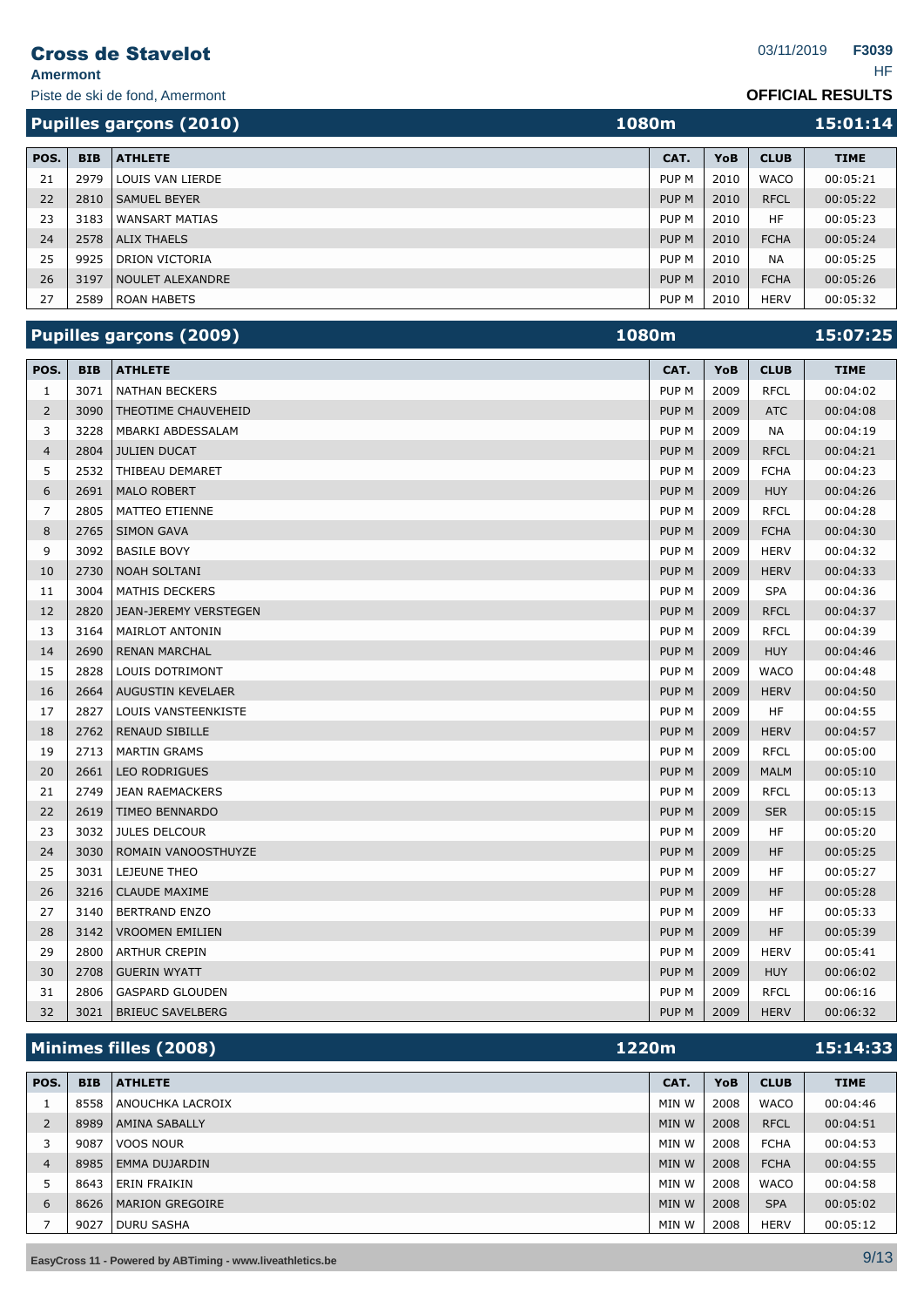**Amermont** HF

Piste de ski de fond, Amermont

|      | 1080m<br><b>Pupilles garçons (2010)</b> |                         |                  |      | 15:01:14    |             |
|------|-----------------------------------------|-------------------------|------------------|------|-------------|-------------|
| POS. | <b>BIB</b>                              | <b>ATHLETE</b>          | CAT.             | YoB  | <b>CLUB</b> | <b>TIME</b> |
| 21   | 2979                                    | LOUIS VAN LIERDE        | PUP M            | 2010 | <b>WACO</b> | 00:05:21    |
| 22   | 2810                                    | <b>SAMUEL BEYER</b>     | PUP <sub>M</sub> | 2010 | <b>RFCL</b> | 00:05:22    |
| 23   | 3183                                    | <b>WANSART MATIAS</b>   | PUP M            | 2010 | HF          | 00:05:23    |
| 24   | 2578                                    | <b>ALIX THAELS</b>      | PUP <sub>M</sub> | 2010 | <b>FCHA</b> | 00:05:24    |
| 25   | 9925                                    | DRION VICTORIA          | PUP M            | 2010 | <b>NA</b>   | 00:05:25    |
| 26   | 3197                                    | <b>NOULET ALEXANDRE</b> | PUP <sub>M</sub> | 2010 | <b>FCHA</b> | 00:05:26    |
| 27   | 2589                                    | <b>ROAN HABETS</b>      | PUP M            | 2010 | <b>HERV</b> | 00:05:32    |

|                |            | Pupilles garçons (2009)      | 1080m            |      |             | 15:07:25    |
|----------------|------------|------------------------------|------------------|------|-------------|-------------|
| POS.           | <b>BIB</b> | <b>ATHLETE</b>               | CAT.             | YoB  | <b>CLUB</b> | <b>TIME</b> |
| $\mathbf{1}$   | 3071       | <b>NATHAN BECKERS</b>        | PUP <sub>M</sub> | 2009 | <b>RFCL</b> | 00:04:02    |
| $\overline{2}$ | 3090       | THEOTIME CHAUVEHEID          | PUP M            | 2009 | <b>ATC</b>  | 00:04:08    |
| 3              | 3228       | MBARKI ABDESSALAM            | PUP <sub>M</sub> | 2009 | <b>NA</b>   | 00:04:19    |
| $\overline{4}$ | 2804       | <b>JULIEN DUCAT</b>          | PUP <sub>M</sub> | 2009 | <b>RFCL</b> | 00:04:21    |
| 5              | 2532       | THIBEAU DEMARET              | PUP M            | 2009 | <b>FCHA</b> | 00:04:23    |
| 6              | 2691       | <b>MALO ROBERT</b>           | PUP M            | 2009 | <b>HUY</b>  | 00:04:26    |
| 7              | 2805       | MATTEO ETIENNE               | PUP M            | 2009 | <b>RFCL</b> | 00:04:28    |
| 8              | 2765       | <b>SIMON GAVA</b>            | PUP M            | 2009 | <b>FCHA</b> | 00:04:30    |
| 9              | 3092       | <b>BASILE BOVY</b>           | PUP M            | 2009 | <b>HERV</b> | 00:04:32    |
| 10             | 2730       | <b>NOAH SOLTANI</b>          | PUP M            | 2009 | <b>HERV</b> | 00:04:33    |
| 11             | 3004       | <b>MATHIS DECKERS</b>        | PUP <sub>M</sub> | 2009 | <b>SPA</b>  | 00:04:36    |
| 12             | 2820       | <b>JEAN-JEREMY VERSTEGEN</b> | PUP M            | 2009 | <b>RFCL</b> | 00:04:37    |
| 13             | 3164       | <b>MAIRLOT ANTONIN</b>       | PUP <sub>M</sub> | 2009 | <b>RFCL</b> | 00:04:39    |
| 14             | 2690       | <b>RENAN MARCHAL</b>         | PUP M            | 2009 | <b>HUY</b>  | 00:04:46    |
| 15             | 2828       | LOUIS DOTRIMONT              | PUP <sub>M</sub> | 2009 | <b>WACO</b> | 00:04:48    |
| 16             | 2664       | AUGUSTIN KEVELAER            | PUP M            | 2009 | <b>HERV</b> | 00:04:50    |
| 17             | 2827       | <b>LOUIS VANSTEENKISTE</b>   | PUP <sub>M</sub> | 2009 | <b>HF</b>   | 00:04:55    |
| 18             | 2762       | <b>RENAUD SIBILLE</b>        | PUP M            | 2009 | <b>HERV</b> | 00:04:57    |
| 19             | 2713       | <b>MARTIN GRAMS</b>          | PUP M            | 2009 | <b>RFCL</b> | 00:05:00    |
| 20             | 2661       | <b>LEO RODRIGUES</b>         | PUP <sub>M</sub> | 2009 | <b>MALM</b> | 00:05:10    |
| 21             | 2749       | <b>JEAN RAEMACKERS</b>       | PUP M            | 2009 | <b>RFCL</b> | 00:05:13    |
| 22             | 2619       | <b>TIMEO BENNARDO</b>        | PUP M            | 2009 | <b>SER</b>  | 00:05:15    |
| 23             | 3032       | <b>JULES DELCOUR</b>         | PUP <sub>M</sub> | 2009 | <b>HF</b>   | 00:05:20    |
| 24             | 3030       | ROMAIN VANOOSTHUYZE          | PUP M            | 2009 | <b>HF</b>   | 00:05:25    |
| 25             | 3031       | LEJEUNE THEO                 | PUP <sub>M</sub> | 2009 | <b>HF</b>   | 00:05:27    |
| 26             | 3216       | <b>CLAUDE MAXIME</b>         | PUP M            | 2009 | <b>HF</b>   | 00:05:28    |
| 27             | 3140       | <b>BERTRAND ENZO</b>         | PUP <sub>M</sub> | 2009 | <b>HF</b>   | 00:05:33    |
| 28             | 3142       | <b>VROOMEN EMILIEN</b>       | PUP M            | 2009 | <b>HF</b>   | 00:05:39    |
| 29             | 2800       | <b>ARTHUR CREPIN</b>         | PUP <sub>M</sub> | 2009 | <b>HERV</b> | 00:05:41    |
| 30             | 2708       | <b>GUERIN WYATT</b>          | PUP M            | 2009 | <b>HUY</b>  | 00:06:02    |
| 31             | 2806       | <b>GASPARD GLOUDEN</b>       | PUP M            | 2009 | <b>RFCL</b> | 00:06:16    |
| 32             | 3021       | <b>BRIEUC SAVELBERG</b>      | PUP <sub>M</sub> | 2009 | <b>HERV</b> | 00:06:32    |

|      |            | Minimes filles (2008)  | 1220m |            | 15:14:33    |             |
|------|------------|------------------------|-------|------------|-------------|-------------|
|      |            |                        |       |            |             |             |
| POS. | <b>BIB</b> | <b>ATHLETE</b>         | CAT.  | <b>YoB</b> | <b>CLUB</b> | <b>TIME</b> |
|      | 8558       | ANOUCHKA LACROIX       | MIN W | 2008       | <b>WACO</b> | 00:04:46    |
| 2    | 8989       | <b>AMINA SABALLY</b>   | MIN W | 2008       | <b>RFCL</b> | 00:04:51    |
|      | 9087       | VOOS NOUR              | MIN W | 2008       | <b>FCHA</b> | 00:04:53    |
| 4    | 8985       | <b>EMMA DUJARDIN</b>   | MIN W | 2008       | <b>FCHA</b> | 00:04:55    |
|      | 8643       | <b>ERIN FRAIKIN</b>    | MIN W | 2008       | <b>WACO</b> | 00:04:58    |
| 6    | 8626       | <b>MARION GREGOIRE</b> | MIN W | 2008       | <b>SPA</b>  | 00:05:02    |
|      | 9027       | <b>DURU SASHA</b>      | MIN W | 2008       | <b>HERV</b> | 00:05:12    |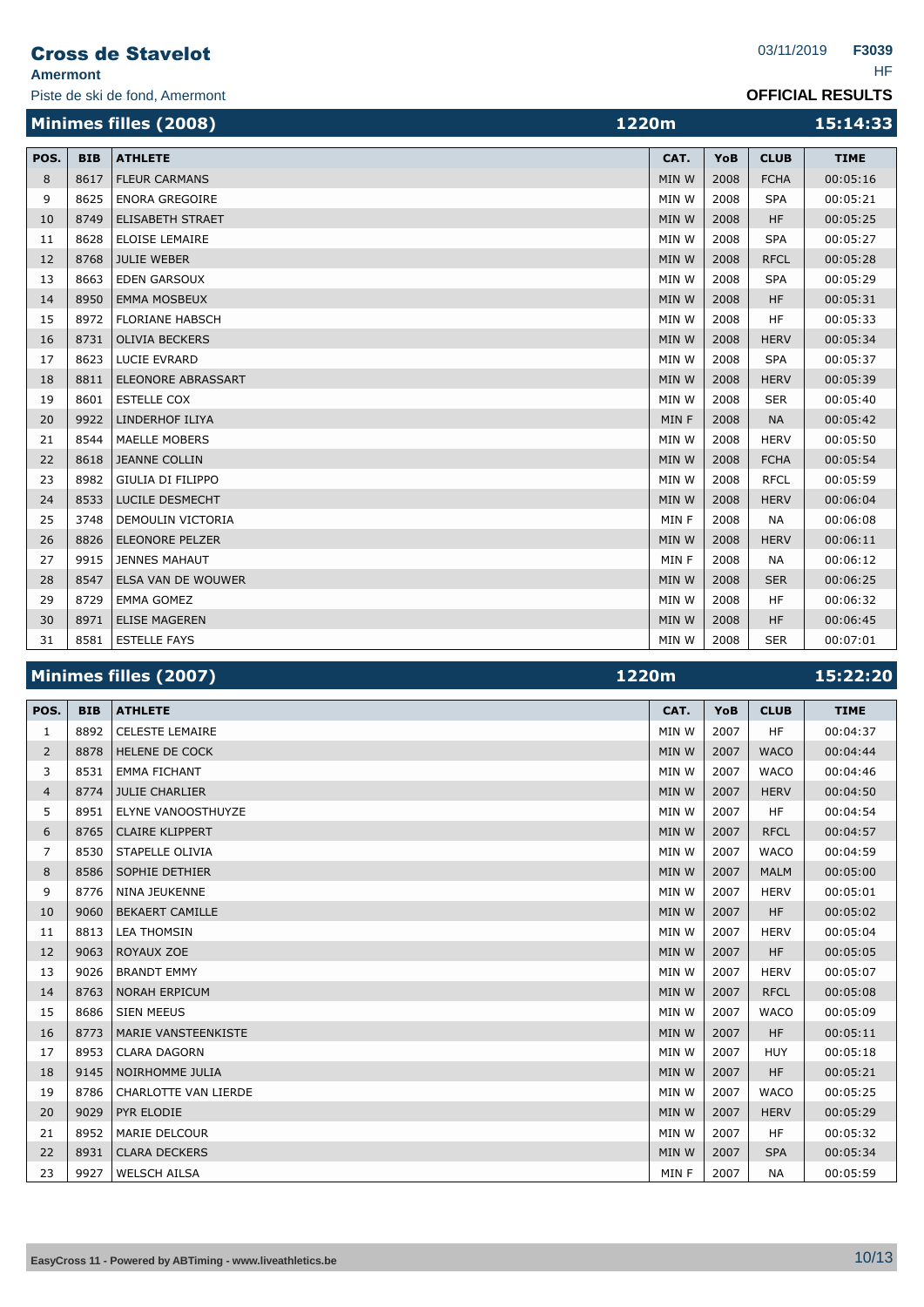## Cross de Stavelot

**Amermont** HF

|  |  | . |
|--|--|---|
|  |  |   |
|  |  |   |

|      |            | Minimes filles (2008)     | 1220m |      |             | 15:14:33    |
|------|------------|---------------------------|-------|------|-------------|-------------|
| POS. | <b>BIB</b> | <b>ATHLETE</b>            | CAT.  | YoB  | <b>CLUB</b> | <b>TIME</b> |
| 8    | 8617       | <b>FLEUR CARMANS</b>      | MIN W | 2008 | <b>FCHA</b> | 00:05:16    |
| 9    | 8625       | <b>ENORA GREGOIRE</b>     | MIN W | 2008 | <b>SPA</b>  | 00:05:21    |
| 10   | 8749       | <b>ELISABETH STRAET</b>   | MIN W | 2008 | <b>HF</b>   | 00:05:25    |
| 11   | 8628       | <b>ELOISE LEMAIRE</b>     | MIN W | 2008 | <b>SPA</b>  | 00:05:27    |
| 12   | 8768       | <b>JULIE WEBER</b>        | MIN W | 2008 | <b>RFCL</b> | 00:05:28    |
| 13   | 8663       | <b>EDEN GARSOUX</b>       | MIN W | 2008 | <b>SPA</b>  | 00:05:29    |
| 14   | 8950       | <b>EMMA MOSBEUX</b>       | MIN W | 2008 | <b>HF</b>   | 00:05:31    |
| 15   | 8972       | <b>FLORIANE HABSCH</b>    | MIN W | 2008 | <b>HF</b>   | 00:05:33    |
| 16   | 8731       | <b>OLIVIA BECKERS</b>     | MIN W | 2008 | <b>HERV</b> | 00:05:34    |
| 17   | 8623       | <b>LUCIE EVRARD</b>       | MIN W | 2008 | <b>SPA</b>  | 00:05:37    |
| 18   | 8811       | <b>ELEONORE ABRASSART</b> | MIN W | 2008 | <b>HERV</b> | 00:05:39    |
| 19   | 8601       | <b>ESTELLE COX</b>        | MIN W | 2008 | <b>SER</b>  | 00:05:40    |
| 20   | 9922       | LINDERHOF ILIYA           | MIN F | 2008 | <b>NA</b>   | 00:05:42    |
| 21   | 8544       | <b>MAELLE MOBERS</b>      | MIN W | 2008 | <b>HERV</b> | 00:05:50    |
| 22   | 8618       | <b>JEANNE COLLIN</b>      | MIN W | 2008 | <b>FCHA</b> | 00:05:54    |
| 23   | 8982       | <b>GIULIA DI FILIPPO</b>  | MIN W | 2008 | <b>RFCL</b> | 00:05:59    |
| 24   | 8533       | <b>LUCILE DESMECHT</b>    | MIN W | 2008 | <b>HERV</b> | 00:06:04    |
| 25   | 3748       | DEMOULIN VICTORIA         | MIN F | 2008 | <b>NA</b>   | 00:06:08    |
| 26   | 8826       | <b>ELEONORE PELZER</b>    | MIN W | 2008 | <b>HERV</b> | 00:06:11    |
| 27   | 9915       | <b>JENNES MAHAUT</b>      | MIN F | 2008 | <b>NA</b>   | 00:06:12    |
| 28   | 8547       | ELSA VAN DE WOUWER        | MIN W | 2008 | <b>SER</b>  | 00:06:25    |
| 29   | 8729       | <b>EMMA GOMEZ</b>         | MIN W | 2008 | <b>HF</b>   | 00:06:32    |
| 30   | 8971       | <b>ELISE MAGEREN</b>      | MIN W | 2008 | <b>HF</b>   | 00:06:45    |
| 31   | 8581       | <b>ESTELLE FAYS</b>       | MIN W | 2008 | <b>SER</b>  | 00:07:01    |

| Minimes filles (2007) | 1220m | 15:22:20 |
|-----------------------|-------|----------|
|                       |       |          |

| POS.           | <b>BIB</b> | <b>ATHLETE</b>              | CAT.  | YoB  | <b>CLUB</b> | <b>TIME</b> |
|----------------|------------|-----------------------------|-------|------|-------------|-------------|
| 1              | 8892       | <b>CELESTE LEMAIRE</b>      | MIN W | 2007 | <b>HF</b>   | 00:04:37    |
| 2              | 8878       | <b>HELENE DE COCK</b>       | MIN W | 2007 | <b>WACO</b> | 00:04:44    |
| 3              | 8531       | <b>EMMA FICHANT</b>         | MIN W | 2007 | <b>WACO</b> | 00:04:46    |
| $\overline{4}$ | 8774       | <b>JULIE CHARLIER</b>       | MIN W | 2007 | <b>HERV</b> | 00:04:50    |
| 5              | 8951       | <b>ELYNE VANOOSTHUYZE</b>   | MIN W | 2007 | <b>HF</b>   | 00:04:54    |
| 6              | 8765       | <b>CLAIRE KLIPPERT</b>      | MIN W | 2007 | <b>RFCL</b> | 00:04:57    |
| 7              | 8530       | STAPELLE OLIVIA             | MIN W | 2007 | <b>WACO</b> | 00:04:59    |
| 8              | 8586       | SOPHIE DETHIER              | MIN W | 2007 | <b>MALM</b> | 00:05:00    |
| 9              | 8776       | <b>NINA JEUKENNE</b>        | MIN W | 2007 | <b>HERV</b> | 00:05:01    |
| 10             | 9060       | <b>BEKAERT CAMILLE</b>      | MIN W | 2007 | <b>HF</b>   | 00:05:02    |
| 11             | 8813       | <b>LEA THOMSIN</b>          | MIN W | 2007 | <b>HERV</b> | 00:05:04    |
| 12             | 9063       | ROYAUX ZOE                  | MIN W | 2007 | <b>HF</b>   | 00:05:05    |
| 13             | 9026       | <b>BRANDT EMMY</b>          | MIN W | 2007 | <b>HERV</b> | 00:05:07    |
| 14             | 8763       | <b>NORAH ERPICUM</b>        | MIN W | 2007 | <b>RFCL</b> | 00:05:08    |
| 15             | 8686       | <b>SIEN MEEUS</b>           | MIN W | 2007 | <b>WACO</b> | 00:05:09    |
| 16             | 8773       | <b>MARIE VANSTEENKISTE</b>  | MIN W | 2007 | <b>HF</b>   | 00:05:11    |
| 17             | 8953       | <b>CLARA DAGORN</b>         | MIN W | 2007 | <b>HUY</b>  | 00:05:18    |
| 18             | 9145       | NOIRHOMME JULIA             | MIN W | 2007 | <b>HF</b>   | 00:05:21    |
| 19             | 8786       | <b>CHARLOTTE VAN LIERDE</b> | MIN W | 2007 | <b>WACO</b> | 00:05:25    |
| 20             | 9029       | PYR ELODIE                  | MIN W | 2007 | <b>HERV</b> | 00:05:29    |
| 21             | 8952       | <b>MARIE DELCOUR</b>        | MIN W | 2007 | <b>HF</b>   | 00:05:32    |
| 22             | 8931       | <b>CLARA DECKERS</b>        | MIN W | 2007 | <b>SPA</b>  | 00:05:34    |
| 23             | 9927       | <b>WELSCH AILSA</b>         | MIN F | 2007 | <b>NA</b>   | 00:05:59    |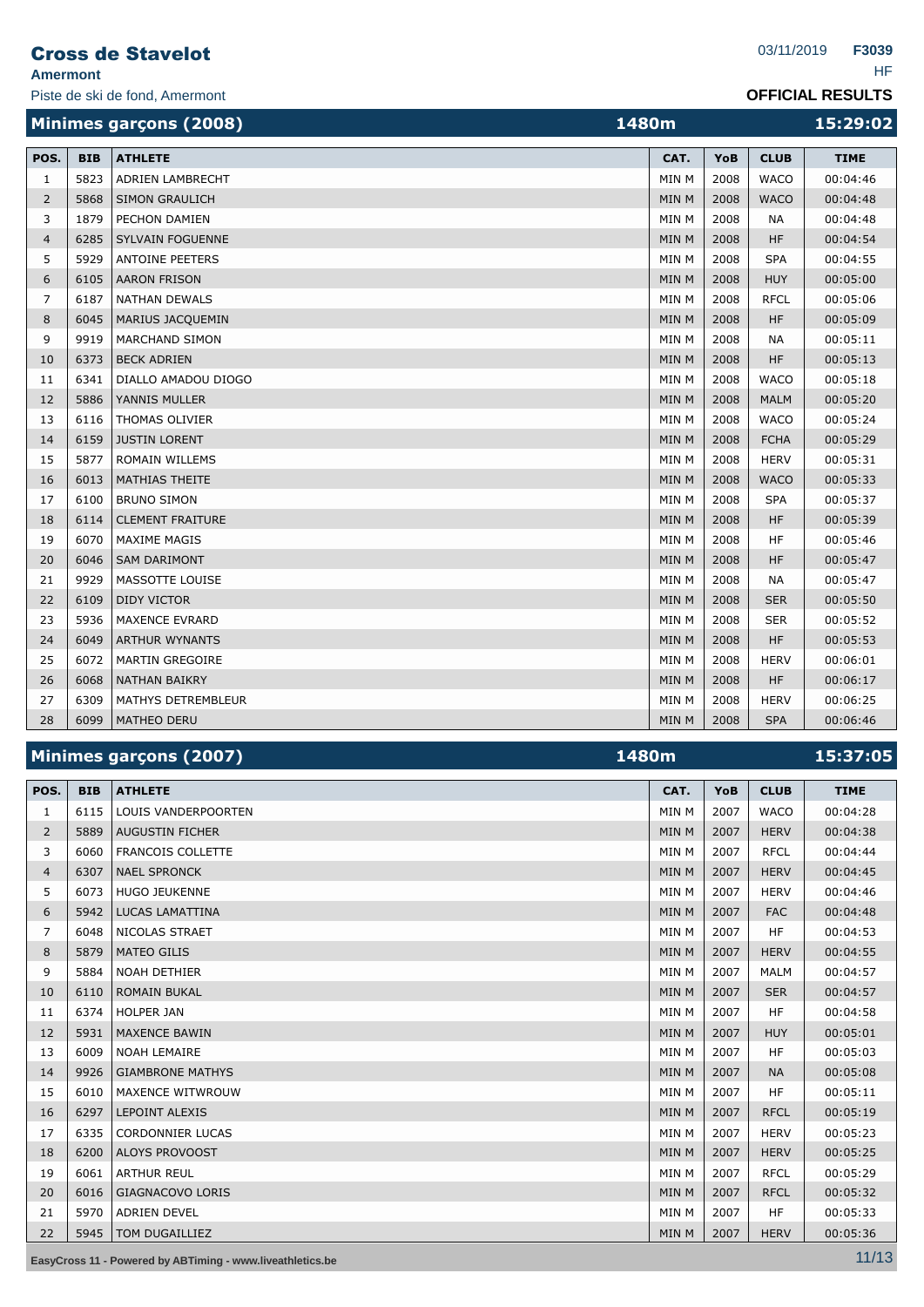#### **Amermont** HF

Piste de ski de fond, Amermont

|  |  |  |  | <b>OFFICIAL RESULTS</b> |  |  |  |
|--|--|--|--|-------------------------|--|--|--|
|--|--|--|--|-------------------------|--|--|--|

|                |            | Minimes garçons (2008)  | 1480m        |      |             | 15:29:02    |
|----------------|------------|-------------------------|--------------|------|-------------|-------------|
| POS.           | <b>BIB</b> | <b>ATHLETE</b>          | CAT.         | YoB  | <b>CLUB</b> | <b>TIME</b> |
| $\mathbf{1}$   | 5823       | ADRIEN LAMBRECHT        | MIN M        | 2008 | <b>WACO</b> | 00:04:46    |
| 2              | 5868       | <b>SIMON GRAULICH</b>   | <b>MIN M</b> | 2008 | <b>WACO</b> | 00:04:48    |
| 3              | 1879       | <b>PECHON DAMIEN</b>    | <b>MIN M</b> | 2008 | <b>NA</b>   | 00:04:48    |
| $\overline{4}$ | 6285       | SYLVAIN FOGUENNE        | MIN M        | 2008 | <b>HF</b>   | 00:04:54    |
| 5              | 5929       | <b>ANTOINE PEETERS</b>  | MIN M        | 2008 | <b>SPA</b>  | 00:04:55    |
| 6              | 6105       | <b>AARON FRISON</b>     | <b>MIN M</b> | 2008 | <b>HUY</b>  | 00:05:00    |
| $\overline{7}$ | 6187       | <b>NATHAN DEWALS</b>    | MIN M        | 2008 | <b>RFCL</b> | 00:05:06    |
| 8              | 6045       | MARIUS JACQUEMIN        | MIN M        | 2008 | <b>HF</b>   | 00:05:09    |
| 9              | 9919       | <b>MARCHAND SIMON</b>   | MIN M        | 2008 | <b>NA</b>   | 00:05:11    |
| 10             | 6373       | <b>BECK ADRIEN</b>      | <b>MIN M</b> | 2008 | <b>HF</b>   | 00:05:13    |
| 11             | 6341       | DIALLO AMADOU DIOGO     | MIN M        | 2008 | <b>WACO</b> | 00:05:18    |
| 12             | 5886       | YANNIS MULLER           | MIN M        | 2008 | <b>MALM</b> | 00:05:20    |
| 13             | 6116       | <b>THOMAS OLIVIER</b>   | MIN M        | 2008 | <b>WACO</b> | 00:05:24    |
| 14             | 6159       | <b>JUSTIN LORENT</b>    | <b>MIN M</b> | 2008 | <b>FCHA</b> | 00:05:29    |
| 15             | 5877       | <b>ROMAIN WILLEMS</b>   | MIN M        | 2008 | <b>HERV</b> | 00:05:31    |
| 16             | 6013       | MATHIAS THEITE          | MIN M        | 2008 | <b>WACO</b> | 00:05:33    |
| 17             | 6100       | <b>BRUNO SIMON</b>      | MIN M        | 2008 | <b>SPA</b>  | 00:05:37    |
| 18             | 6114       | <b>CLEMENT FRAITURE</b> | MIN M        | 2008 | <b>HF</b>   | 00:05:39    |
| 19             | 6070       | <b>MAXIME MAGIS</b>     | MIN M        | 2008 | HF          | 00:05:46    |
| 20             | 6046       | <b>SAM DARIMONT</b>     | <b>MIN M</b> | 2008 | <b>HF</b>   | 00:05:47    |
| 21             | 9929       | MASSOTTE LOUISE         | MIN M        | 2008 | <b>NA</b>   | 00:05:47    |
| 22             | 6109       | <b>DIDY VICTOR</b>      | MIN M        | 2008 | <b>SER</b>  | 00:05:50    |
| 23             | 5936       | <b>MAXENCE EVRARD</b>   | MIN M        | 2008 | <b>SER</b>  | 00:05:52    |
| 24             | 6049       | <b>ARTHUR WYNANTS</b>   | <b>MIN M</b> | 2008 | <b>HF</b>   | 00:05:53    |
| 25             | 6072       | <b>MARTIN GREGOIRE</b>  | MIN M        | 2008 | <b>HERV</b> | 00:06:01    |
| 26             | 6068       | <b>NATHAN BAIKRY</b>    | MIN M        | 2008 | <b>HF</b>   | 00:06:17    |
| 27             | 6309       | MATHYS DETREMBLEUR      | MIN M        | 2008 | <b>HERV</b> | 00:06:25    |
| 28             | 6099       | <b>MATHEO DERU</b>      | <b>MIN M</b> | 2008 | <b>SPA</b>  | 00:06:46    |

|                |            | Minimes garçons (2007)     | 1480m        |      |             | 15:37:05    |
|----------------|------------|----------------------------|--------------|------|-------------|-------------|
| POS.           | <b>BIB</b> | <b>ATHLETE</b>             | CAT.         | YoB  | <b>CLUB</b> | <b>TIME</b> |
| 1              | 6115       | <b>LOUIS VANDERPOORTEN</b> | MIN M        | 2007 | <b>WACO</b> | 00:04:28    |
| $\overline{2}$ | 5889       | <b>AUGUSTIN FICHER</b>     | <b>MIN M</b> | 2007 | <b>HERV</b> | 00:04:38    |
| 3              | 6060       | <b>FRANCOIS COLLETTE</b>   | MIN M        | 2007 | <b>RFCL</b> | 00:04:44    |
| $\overline{4}$ | 6307       | <b>NAEL SPRONCK</b>        | <b>MIN M</b> | 2007 | <b>HERV</b> | 00:04:45    |
| 5              | 6073       | <b>HUGO JEUKENNE</b>       | MIN M        | 2007 | <b>HERV</b> | 00:04:46    |
| 6              | 5942       | <b>LUCAS LAMATTINA</b>     | MIN M        | 2007 | <b>FAC</b>  | 00:04:48    |
| 7              | 6048       | NICOLAS STRAET             | MIN M        | 2007 | <b>HF</b>   | 00:04:53    |
| 8              | 5879       | <b>MATEO GILIS</b>         | MIN M        | 2007 | <b>HERV</b> | 00:04:55    |
| 9              | 5884       | <b>NOAH DETHIER</b>        | MIN M        | 2007 | <b>MALM</b> | 00:04:57    |
| 10             | 6110       | <b>ROMAIN BUKAL</b>        | MIN M        | 2007 | <b>SER</b>  | 00:04:57    |
| 11             | 6374       | <b>HOLPER JAN</b>          | MIN M        | 2007 | <b>HF</b>   | 00:04:58    |
| 12             | 5931       | <b>MAXENCE BAWIN</b>       | MIN M        | 2007 | <b>HUY</b>  | 00:05:01    |
| 13             | 6009       | <b>NOAH LEMAIRE</b>        | MIN M        | 2007 | <b>HF</b>   | 00:05:03    |
| 14             | 9926       | <b>GIAMBRONE MATHYS</b>    | MIN M        | 2007 | <b>NA</b>   | 00:05:08    |
| 15             | 6010       | <b>MAXENCE WITWROUW</b>    | MIN M        | 2007 | <b>HF</b>   | 00:05:11    |
| 16             | 6297       | <b>LEPOINT ALEXIS</b>      | MIN M        | 2007 | <b>RFCL</b> | 00:05:19    |
| 17             | 6335       | <b>CORDONNIER LUCAS</b>    | MIN M        | 2007 | <b>HERV</b> | 00:05:23    |
| 18             | 6200       | <b>ALOYS PROVOOST</b>      | MIN M        | 2007 | <b>HERV</b> | 00:05:25    |
| 19             | 6061       | <b>ARTHUR REUL</b>         | MIN M        | 2007 | <b>RFCL</b> | 00:05:29    |
| 20             | 6016       | <b>GIAGNACOVO LORIS</b>    | MIN M        | 2007 | <b>RFCL</b> | 00:05:32    |
| 21             | 5970       | <b>ADRIEN DEVEL</b>        | MIN M        | 2007 | <b>HF</b>   | 00:05:33    |
| 22             | 5945       | TOM DUGAILLIEZ             | <b>MIN M</b> | 2007 | <b>HERV</b> | 00:05:36    |

**EasyCross 11 - Powered by ABTiming - www.liveathletics.be** 11/13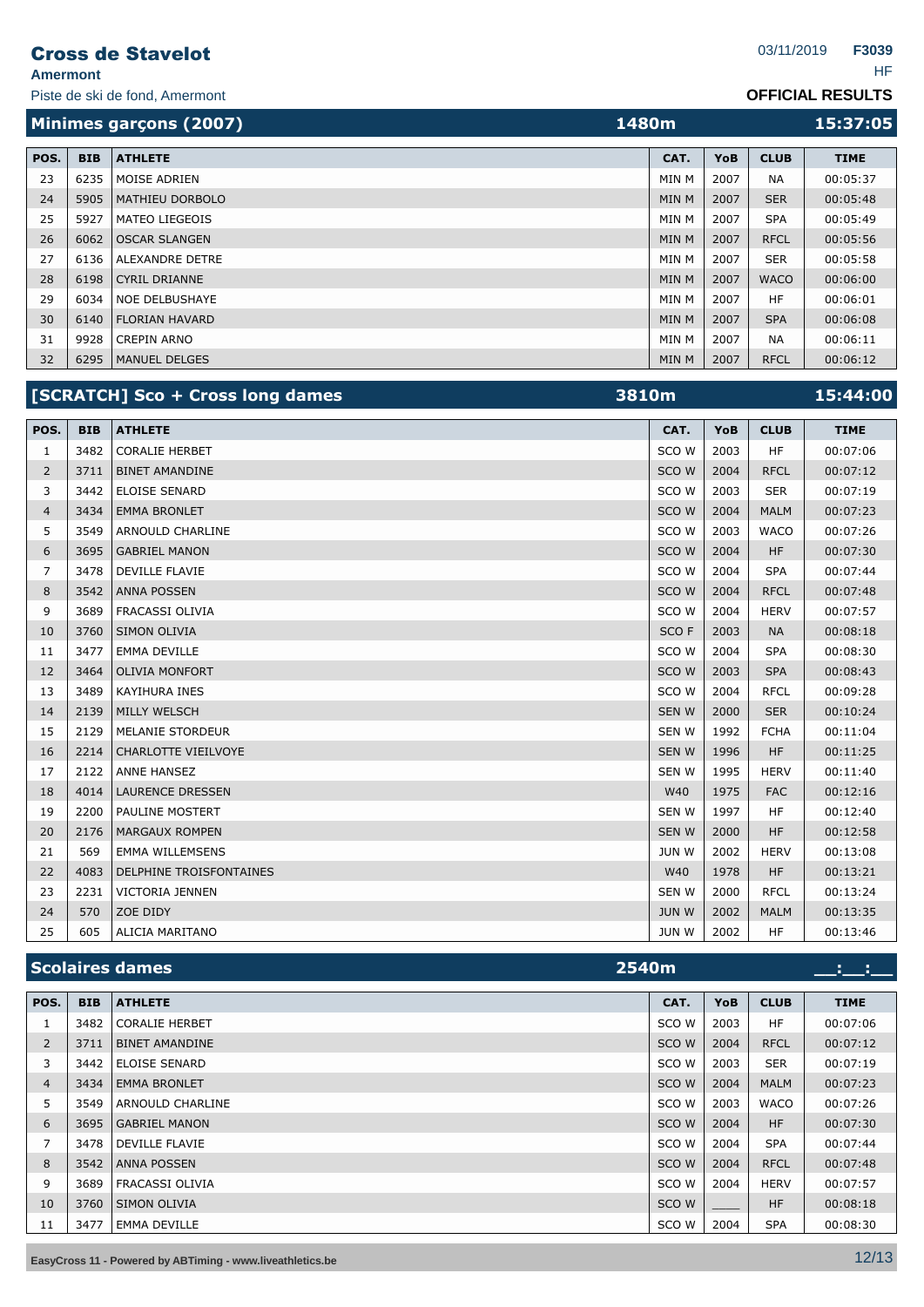**Amermont** HF

Piste de ski de fond, Amermont

|      |            | Minimes garçons (2007) | 1480m |            |             |             |
|------|------------|------------------------|-------|------------|-------------|-------------|
| POS. | <b>BIB</b> | <b>ATHLETE</b>         | CAT.  | <b>YoB</b> | <b>CLUB</b> | <b>TIME</b> |
| 23   | 6235       | MOISE ADRIEN           | MIN M | 2007       | <b>NA</b>   | 00:05:37    |
| 24   | 5905       | <b>MATHIEU DORBOLO</b> | MIN M | 2007       | <b>SER</b>  | 00:05:48    |
| 25   | 5927       | <b>MATEO LIEGEOIS</b>  | MIN M | 2007       | <b>SPA</b>  | 00:05:49    |
| 26   | 6062       | <b>OSCAR SLANGEN</b>   | MIN M | 2007       | <b>RFCL</b> | 00:05:56    |
| 27   | 6136       | <b>ALEXANDRE DETRE</b> | MIN M | 2007       | <b>SER</b>  | 00:05:58    |
| 28   | 6198       | CYRIL DRIANNE          | MIN M | 2007       | <b>WACO</b> | 00:06:00    |
| 29   | 6034       | <b>NOE DELBUSHAYE</b>  | MIN M | 2007       | HF          | 00:06:01    |
| 30   | 6140       | FLORIAN HAVARD         | MIN M | 2007       | <b>SPA</b>  | 00:06:08    |
| 31   | 9928       | <b>CREPIN ARNO</b>     | MIN M | 2007       | <b>NA</b>   | 00:06:11    |
| 32   |            | 6295   MANUEL DELGES   | MIN M | 2007       | <b>RFCL</b> | 00:06:12    |

|                |            | [SCRATCH] Sco + Cross long dames | 3810m        |      |             | 15:44:00    |
|----------------|------------|----------------------------------|--------------|------|-------------|-------------|
| POS.           | <b>BIB</b> | <b>ATHLETE</b>                   | CAT.         | YoB  | <b>CLUB</b> | <b>TIME</b> |
| 1              | 3482       | <b>CORALIE HERBET</b>            | SCO W        | 2003 | <b>HF</b>   | 00:07:06    |
| 2              | 3711       | <b>BINET AMANDINE</b>            | SCO W        | 2004 | <b>RFCL</b> | 00:07:12    |
| 3              | 3442       | <b>ELOISE SENARD</b>             | SCO W        | 2003 | <b>SER</b>  | 00:07:19    |
| $\overline{4}$ | 3434       | <b>EMMA BRONLET</b>              | SCO W        | 2004 | <b>MALM</b> | 00:07:23    |
| 5              | 3549       | ARNOULD CHARLINE                 | SCO W        | 2003 | <b>WACO</b> | 00:07:26    |
| 6              | 3695       | <b>GABRIEL MANON</b>             | SCO W        | 2004 | <b>HF</b>   | 00:07:30    |
| 7              | 3478       | <b>DEVILLE FLAVIE</b>            | SCO W        | 2004 | <b>SPA</b>  | 00:07:44    |
| 8              | 3542       | <b>ANNA POSSEN</b>               | SCO W        | 2004 | <b>RFCL</b> | 00:07:48    |
| 9              | 3689       | FRACASSI OLIVIA                  | SCO W        | 2004 | <b>HERV</b> | 00:07:57    |
| 10             | 3760       | SIMON OLIVIA                     | SCO F        | 2003 | <b>NA</b>   | 00:08:18    |
| 11             | 3477       | <b>EMMA DEVILLE</b>              | SCO W        | 2004 | <b>SPA</b>  | 00:08:30    |
| 12             | 3464       | <b>OLIVIA MONFORT</b>            | SCO W        | 2003 | <b>SPA</b>  | 00:08:43    |
| 13             | 3489       | <b>KAYIHURA INES</b>             | SCO W        | 2004 | <b>RFCL</b> | 00:09:28    |
| 14             | 2139       | <b>MILLY WELSCH</b>              | <b>SENW</b>  | 2000 | <b>SER</b>  | 00:10:24    |
| 15             | 2129       | <b>MELANIE STORDEUR</b>          | SEN W        | 1992 | <b>FCHA</b> | 00:11:04    |
| 16             | 2214       | CHARLOTTE VIEILVOYE              | <b>SENW</b>  | 1996 | <b>HF</b>   | 00:11:25    |
| 17             | 2122       | <b>ANNE HANSEZ</b>               | SEN W        | 1995 | <b>HERV</b> | 00:11:40    |
| 18             | 4014       | <b>LAURENCE DRESSEN</b>          | W40          | 1975 | <b>FAC</b>  | 00:12:16    |
| 19             | 2200       | <b>PAULINE MOSTERT</b>           | SEN W        | 1997 | <b>HF</b>   | 00:12:40    |
| 20             | 2176       | <b>MARGAUX ROMPEN</b>            | SEN W        | 2000 | <b>HF</b>   | 00:12:58    |
| 21             | 569        | <b>EMMA WILLEMSENS</b>           | <b>JUN W</b> | 2002 | <b>HERV</b> | 00:13:08    |
| 22             | 4083       | DELPHINE TROISFONTAINES          | W40          | 1978 | <b>HF</b>   | 00:13:21    |
| 23             | 2231       | VICTORIA JENNEN                  | <b>SENW</b>  | 2000 | <b>RFCL</b> | 00:13:24    |
| 24             | 570        | ZOE DIDY                         | <b>JUN W</b> | 2002 | <b>MALM</b> | 00:13:35    |
| 25             | 605        | <b>ALICIA MARITANO</b>           | <b>JUN W</b> | 2002 | HF          | 00:13:46    |

|                | <b>Scolaires dames</b><br>2540m |                       |       |            |             |             |
|----------------|---------------------------------|-----------------------|-------|------------|-------------|-------------|
| POS.           | <b>BIB</b>                      | <b>ATHLETE</b>        | CAT.  | <b>YoB</b> | <b>CLUB</b> | <b>TIME</b> |
| $\perp$        | 3482                            | <b>CORALIE HERBET</b> | SCO W | 2003       | <b>HF</b>   | 00:07:06    |
| $\overline{2}$ | 3711                            | <b>BINET AMANDINE</b> | SCO W | 2004       | <b>RFCL</b> | 00:07:12    |
| 3              | 3442                            | <b>ELOISE SENARD</b>  | SCO W | 2003       | <b>SER</b>  | 00:07:19    |
| 4              | 3434                            | <b>EMMA BRONLET</b>   | SCO W | 2004       | <b>MALM</b> | 00:07:23    |
| 5              | 3549                            | ARNOULD CHARLINE      | SCO W | 2003       | <b>WACO</b> | 00:07:26    |
| 6              | 3695                            | <b>GABRIEL MANON</b>  | SCO W | 2004       | <b>HF</b>   | 00:07:30    |
| 7              | 3478                            | <b>DEVILLE FLAVIE</b> | SCO W | 2004       | <b>SPA</b>  | 00:07:44    |
| 8              | 3542                            | <b>ANNA POSSEN</b>    | SCO W | 2004       | <b>RFCL</b> | 00:07:48    |
| 9              | 3689                            | FRACASSI OLIVIA       | SCO W | 2004       | <b>HERV</b> | 00:07:57    |
| 10             | 3760                            | <b>SIMON OLIVIA</b>   | SCO W | _____      | <b>HF</b>   | 00:08:18    |
| 11             | 3477                            | <b>EMMA DEVILLE</b>   | SCO W | 2004       | <b>SPA</b>  | 00:08:30    |